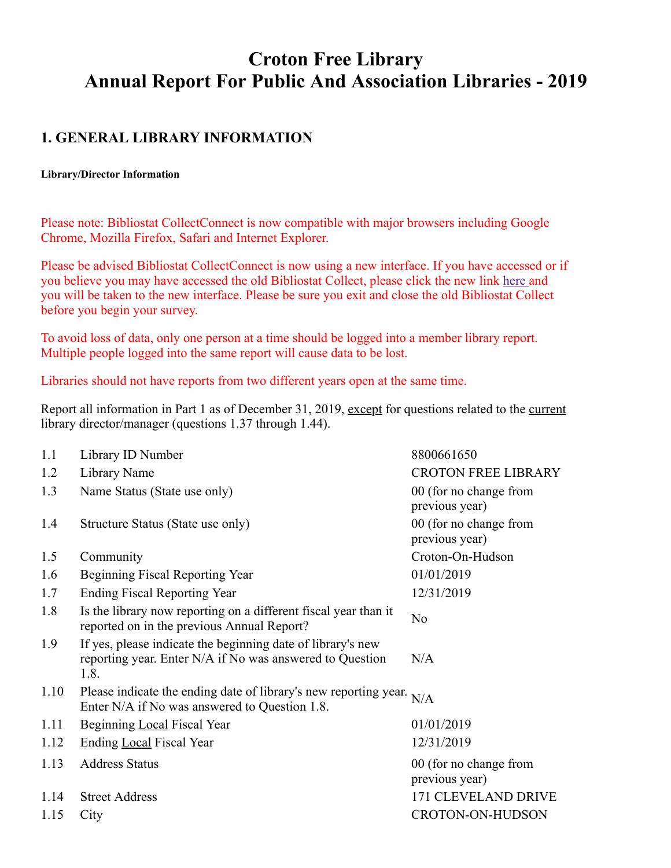# **Croton Free Library Annual Report For Public And Association Libraries - 2019**

# **1. GENERAL LIBRARY INFORMATION**

#### **Library/Director Information**

Please note: Bibliostat CollectConnect is now compatible with major browsers including Google Chrome, Mozilla Firefox, Safari and Internet Explorer.

Please be advised Bibliostat CollectConnect is now using a new interface. If you have accessed or if you believe you may have accessed the old Bibliostat Collect, please click the new link [here a](https://collectconnect.baker-taylor.com/login.aspx)nd you will be taken to the new interface. Please be sure you exit and close the old Bibliostat Collect before you begin your survey.

To avoid loss of data, only one person at a time should be logged into a member library report. Multiple people logged into the same report will cause data to be lost.

Libraries should not have reports from two different years open at the same time.

Report all information in Part 1 as of December 31, 2019, except for questions related to the current library director/manager (questions 1.37 through 1.44).

| 1.1  | Library ID Number                                                                                                               | 8800661650                               |
|------|---------------------------------------------------------------------------------------------------------------------------------|------------------------------------------|
| 1.2  | Library Name                                                                                                                    | <b>CROTON FREE LIBRARY</b>               |
| 1.3  | Name Status (State use only)                                                                                                    | 00 (for no change from<br>previous year) |
| 1.4  | Structure Status (State use only)                                                                                               | 00 (for no change from<br>previous year) |
| 1.5  | Community                                                                                                                       | Croton-On-Hudson                         |
| 1.6  | Beginning Fiscal Reporting Year                                                                                                 | 01/01/2019                               |
| 1.7  | <b>Ending Fiscal Reporting Year</b>                                                                                             | 12/31/2019                               |
| 1.8  | Is the library now reporting on a different fiscal year than it<br>reported on in the previous Annual Report?                   | N <sub>o</sub>                           |
| 1.9  | If yes, please indicate the beginning date of library's new<br>reporting year. Enter N/A if No was answered to Question<br>1.8. | N/A                                      |
| 1.10 | Please indicate the ending date of library's new reporting year. $N/A$<br>Enter N/A if No was answered to Question 1.8.         |                                          |
| 1.11 | Beginning Local Fiscal Year                                                                                                     | 01/01/2019                               |
| 1.12 | Ending Local Fiscal Year                                                                                                        | 12/31/2019                               |
| 1.13 | <b>Address Status</b>                                                                                                           | 00 (for no change from<br>previous year) |
| 1.14 | <b>Street Address</b>                                                                                                           | 171 CLEVELAND DRIVE                      |
| 1.15 | City                                                                                                                            | <b>CROTON-ON-HUDSON</b>                  |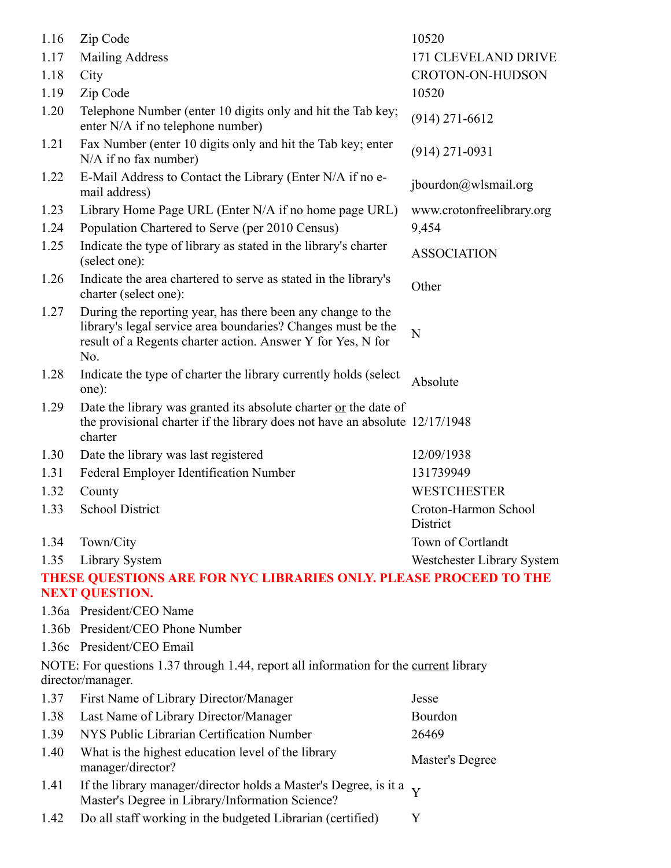| 1.16         | Zip Code                                                                                                                                                                                          | 10520                            |
|--------------|---------------------------------------------------------------------------------------------------------------------------------------------------------------------------------------------------|----------------------------------|
| 1.17         | <b>Mailing Address</b>                                                                                                                                                                            | 171 CLEVELAND DRIVE              |
| 1.18         | City                                                                                                                                                                                              | CROTON-ON-HUDSON                 |
| 1.19         | Zip Code                                                                                                                                                                                          | 10520                            |
| 1.20         | Telephone Number (enter 10 digits only and hit the Tab key;<br>enter N/A if no telephone number)                                                                                                  | $(914)$ 271-6612                 |
| 1.21         | Fax Number (enter 10 digits only and hit the Tab key; enter<br>$N/A$ if no fax number)                                                                                                            | $(914)$ 271-0931                 |
| 1.22         | E-Mail Address to Contact the Library (Enter N/A if no e-<br>mail address)                                                                                                                        | jbourdon@wlsmail.org             |
| 1.23         | Library Home Page URL (Enter N/A if no home page URL)                                                                                                                                             | www.crotonfreelibrary.org        |
| 1.24         | Population Chartered to Serve (per 2010 Census)                                                                                                                                                   | 9,454                            |
| 1.25         | Indicate the type of library as stated in the library's charter<br>(select one):                                                                                                                  | <b>ASSOCIATION</b>               |
| 1.26         | Indicate the area chartered to serve as stated in the library's<br>charter (select one):                                                                                                          | Other                            |
| 1.27         | During the reporting year, has there been any change to the<br>library's legal service area boundaries? Changes must be the<br>result of a Regents charter action. Answer Y for Yes, N for<br>No. | $\mathbf N$                      |
| 1.28         | Indicate the type of charter the library currently holds (select<br>one):                                                                                                                         | Absolute                         |
| 1.29         | Date the library was granted its absolute charter or the date of<br>the provisional charter if the library does not have an absolute 12/17/1948<br>charter                                        |                                  |
| 1.30         | Date the library was last registered                                                                                                                                                              | 12/09/1938                       |
| 1.31         | Federal Employer Identification Number                                                                                                                                                            | 131739949                        |
| 1.32         | County                                                                                                                                                                                            | <b>WESTCHESTER</b>               |
| 1.33         | <b>School District</b>                                                                                                                                                                            | Croton-Harmon School<br>District |
| 1.34         | Town/City                                                                                                                                                                                         | Town of Cortlandt                |
| 1.35         | Library System                                                                                                                                                                                    | Westchester Library System       |
|              | THESE QUESTIONS ARE FOR NYC LIBRARIES ONLY, PLEASE PROCEED TO THE                                                                                                                                 |                                  |
|              | <b>NEXT QUESTION.</b>                                                                                                                                                                             |                                  |
|              | 1.36a President/CEO Name                                                                                                                                                                          |                                  |
|              | 1.36b President/CEO Phone Number                                                                                                                                                                  |                                  |
|              | 1.36c President/CEO Email                                                                                                                                                                         |                                  |
|              | NOTE: For questions 1.37 through 1.44, report all information for the current library                                                                                                             |                                  |
|              | director/manager.                                                                                                                                                                                 |                                  |
| 1.37         | First Name of Library Director/Manager                                                                                                                                                            | Jesse                            |
| 1.38         | Last Name of Library Director/Manager                                                                                                                                                             | Bourdon                          |
| 1.39         | NYS Public Librarian Certification Number                                                                                                                                                         | 26469                            |
| 1.40         | What is the highest education level of the library<br>manager/director?                                                                                                                           | Master's Degree                  |
| 1.41<br>1.42 | If the library manager/director holds a Master's Degree, is it a<br>Master's Degree in Library/Information Science?<br>Do all staff working in the budgeted Librarian (certified)                 | Y<br>Y                           |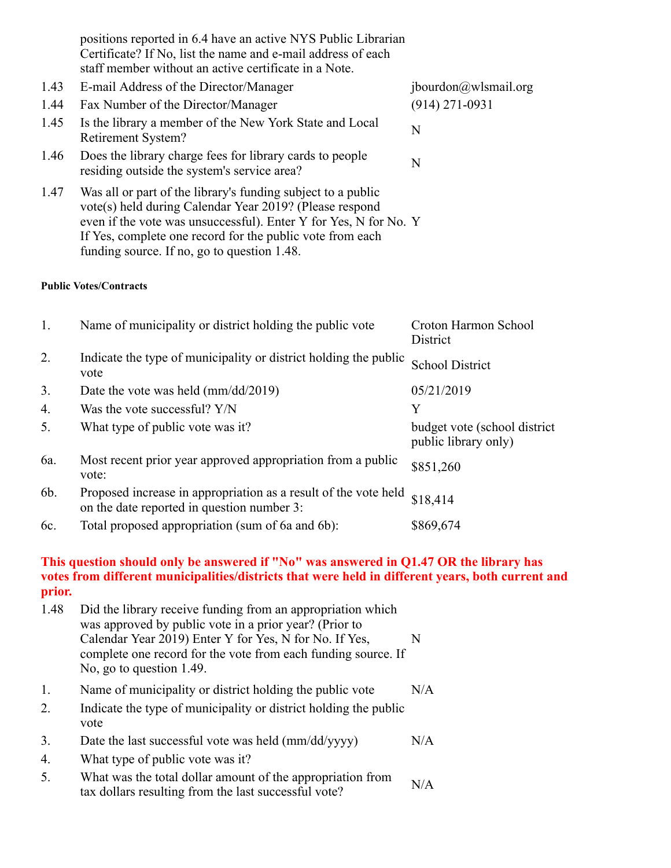|      | positions reported in 6.4 have an active NYS Public Librarian<br>Certificate? If No, list the name and e-mail address of each<br>staff member without an active certificate in a Note.                                                                                                                  |                       |
|------|---------------------------------------------------------------------------------------------------------------------------------------------------------------------------------------------------------------------------------------------------------------------------------------------------------|-----------------------|
| 1.43 | E-mail Address of the Director/Manager                                                                                                                                                                                                                                                                  | ibour don@wlsmail.org |
| 1.44 | Fax Number of the Director/Manager                                                                                                                                                                                                                                                                      | $(914)$ 271-0931      |
| 1.45 | Is the library a member of the New York State and Local<br>Retirement System?                                                                                                                                                                                                                           | N                     |
| 1.46 | Does the library charge fees for library cards to people<br>residing outside the system's service area?                                                                                                                                                                                                 | N                     |
| 1.47 | Was all or part of the library's funding subject to a public<br>vote(s) held during Calendar Year 2019? (Please respond<br>even if the vote was unsuccessful). Enter Y for Yes, N for No. Y<br>If Yes, complete one record for the public vote from each<br>funding source. If no, go to question 1.48. |                       |

#### **Public Votes/Contracts**

| 1.  | Name of municipality or district holding the public vote                                                      | Croton Harmon School<br>District                     |
|-----|---------------------------------------------------------------------------------------------------------------|------------------------------------------------------|
| 2.  | Indicate the type of municipality or district holding the public<br>vote                                      | <b>School District</b>                               |
| 3.  | Date the vote was held $\text{mm}/\text{dd}/\text{2019}$                                                      | 05/21/2019                                           |
| 4.  | Was the vote successful? $Y/N$                                                                                | Y                                                    |
| 5.  | What type of public vote was it?                                                                              | budget vote (school district<br>public library only) |
| 6a. | Most recent prior year approved appropriation from a public<br>vote:                                          | \$851,260                                            |
| 6b. | Proposed increase in appropriation as a result of the vote held<br>on the date reported in question number 3: | \$18,414                                             |
| 6c. | Total proposed appropriation (sum of 6a and 6b):                                                              | \$869,674                                            |

#### **This question should only be answered if "No" was answered in Q1.47 OR the library has votes from different municipalities/districts that were held in different years, both current and prior.**

- 1.48 Did the library receive funding from an appropriation which was approved by public vote in a prior year? (Prior to Calendar Year 2019) Enter Y for Yes, N for No. If Yes, complete one record for the vote from each funding source. If No, go to question 1.49. N
- 1. Name of municipality or district holding the public vote N/A
- 2. Indicate the type of municipality or district holding the public vote
- 3. Date the last successful vote was held (mm/dd/yyyy) N/A
- 4. What type of public vote was it?
- 5. What was the total dollar amount of the appropriation from  $t$  tax dollars resulting from the last successful vote?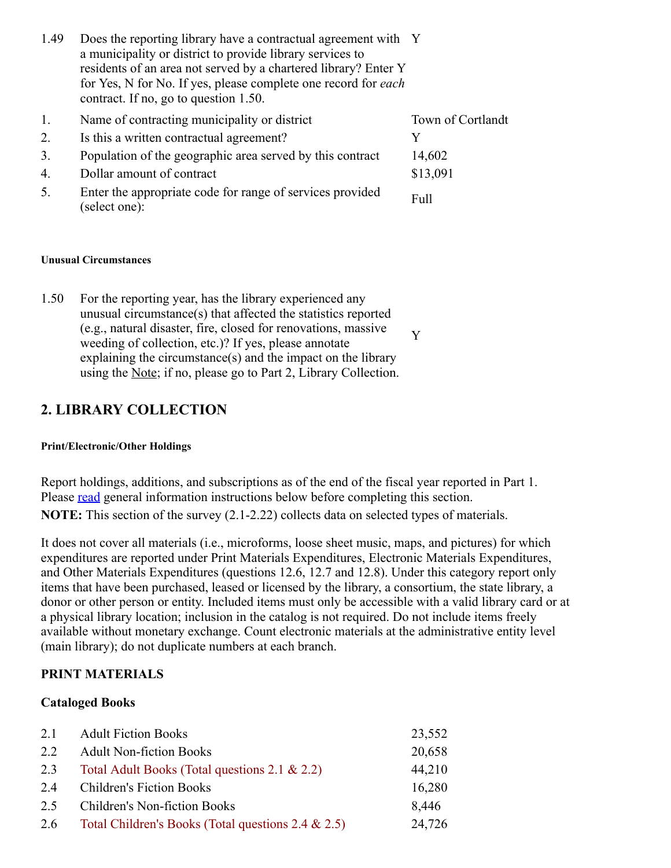| 1.49 | Does the reporting library have a contractual agreement with Y        |
|------|-----------------------------------------------------------------------|
|      | a municipality or district to provide library services to             |
|      | residents of an area not served by a chartered library? Enter Y       |
|      | for Yes, N for No. If yes, please complete one record for <i>each</i> |
|      | contract. If no, go to question 1.50.                                 |
|      |                                                                       |

| 1. | Name of contracting municipality or district                               | Town of Cortlandt |
|----|----------------------------------------------------------------------------|-------------------|
| 2. | Is this a written contractual agreement?                                   |                   |
| 3. | Population of the geographic area served by this contract                  | 14,602            |
| 4. | Dollar amount of contract                                                  | \$13,091          |
| 5. | Enter the appropriate code for range of services provided<br>(select one): | Full              |

#### **Unusual Circumstances**

1.50 For the reporting year, has the library experienced any unusual circumstance(s) that affected the statistics reported (e.g., natural disaster, fire, closed for renovations, massive weeding of collection, etc.)? If yes, please annotate explaining the circumstance(s) and the impact on the library using the Note; if no, please go to Part 2, Library Collection. Y

### **2. LIBRARY COLLECTION**

#### **Print/Electronic/Other Holdings**

Report holdings, additions, and subscriptions as of the end of the fiscal year reported in Part 1. Please <u>read</u> general information instructions below before completing this section. **NOTE:** This section of the survey (2.1-2.22) collects data on selected types of materials.

It does not cover all materials (i.e., microforms, loose sheet music, maps, and pictures) for which expenditures are reported under Print Materials Expenditures, Electronic Materials Expenditures, and Other Materials Expenditures (questions 12.6, 12.7 and 12.8). Under this category report only items that have been purchased, leased or licensed by the library, a consortium, the state library, a donor or other person or entity. Included items must only be accessible with a valid library card or at a physical library location; inclusion in the catalog is not required. Do not include items freely available without monetary exchange. Count electronic materials at the administrative entity level (main library); do not duplicate numbers at each branch.

#### **PRINT MATERIALS**

#### **Cataloged Books**

| 2.1 | <b>Adult Fiction Books</b>                         | 23,552 |
|-----|----------------------------------------------------|--------|
| 2.2 | <b>Adult Non-fiction Books</b>                     | 20,658 |
| 2.3 | Total Adult Books (Total questions 2.1 & 2.2)      | 44,210 |
| 2.4 | <b>Children's Fiction Books</b>                    | 16,280 |
| 2.5 | <b>Children's Non-fiction Books</b>                | 8,446  |
| 2.6 | Total Children's Books (Total questions 2.4 & 2.5) | 24,726 |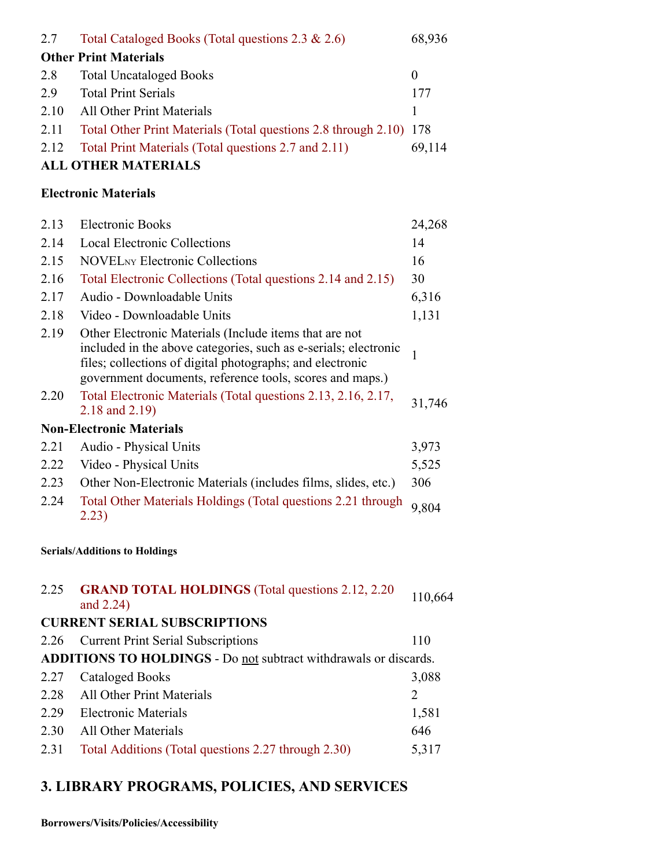| 2.7                                  | Total Cataloged Books (Total questions 2.3 & 2.6)                                                                                                                                        | 68,936       |  |
|--------------------------------------|------------------------------------------------------------------------------------------------------------------------------------------------------------------------------------------|--------------|--|
|                                      | <b>Other Print Materials</b>                                                                                                                                                             |              |  |
| 2.8                                  | <b>Total Uncataloged Books</b>                                                                                                                                                           | $\theta$     |  |
| 2.9                                  | <b>Total Print Serials</b>                                                                                                                                                               | 177          |  |
| 2.10                                 | <b>All Other Print Materials</b>                                                                                                                                                         | $\mathbf{1}$ |  |
| 2.11                                 | Total Other Print Materials (Total questions 2.8 through 2.10)                                                                                                                           | 178          |  |
| 2.12                                 | Total Print Materials (Total questions 2.7 and 2.11)                                                                                                                                     | 69,114       |  |
|                                      | <b>ALL OTHER MATERIALS</b>                                                                                                                                                               |              |  |
|                                      | <b>Electronic Materials</b>                                                                                                                                                              |              |  |
| 2.13                                 | <b>Electronic Books</b>                                                                                                                                                                  | 24,268       |  |
| 2.14                                 | <b>Local Electronic Collections</b>                                                                                                                                                      | 14           |  |
| 2.15                                 | <b>NOVEL</b> <sub>NY</sub> Electronic Collections                                                                                                                                        | 16           |  |
| 2.16                                 | Total Electronic Collections (Total questions 2.14 and 2.15)                                                                                                                             | 30           |  |
| 2.17                                 | Audio - Downloadable Units                                                                                                                                                               | 6,316        |  |
| 2.18                                 | Video - Downloadable Units                                                                                                                                                               | 1,131        |  |
| 2.19                                 | Other Electronic Materials (Include items that are not                                                                                                                                   |              |  |
|                                      | included in the above categories, such as e-serials; electronic<br>files; collections of digital photographs; and electronic<br>government documents, reference tools, scores and maps.) | $\mathbf{1}$ |  |
| 2.20                                 | Total Electronic Materials (Total questions 2.13, 2.16, 2.17,<br>2.18 and 2.19)                                                                                                          | 31,746       |  |
|                                      | <b>Non-Electronic Materials</b>                                                                                                                                                          |              |  |
| 2.21                                 | Audio - Physical Units                                                                                                                                                                   | 3,973        |  |
| 2.22                                 | Video - Physical Units                                                                                                                                                                   | 5,525        |  |
| 2.23                                 | Other Non-Electronic Materials (includes films, slides, etc.)                                                                                                                            | 306          |  |
| 2.24                                 | Total Other Materials Holdings (Total questions 2.21 through<br>2.23)                                                                                                                    | 9,804        |  |
| <b>Serials/Additions to Holdings</b> |                                                                                                                                                                                          |              |  |
| 2.25                                 | <b>GRAND TOTAL HOLDINGS</b> (Total questions 2.12, 2.20)<br>and 2.24)                                                                                                                    | 110,664      |  |
|                                      | <b>CURRENT SERIAL SUBSCRIPTIONS</b>                                                                                                                                                      |              |  |
| 2.26                                 | <b>Current Print Serial Subscriptions</b>                                                                                                                                                | 110          |  |
|                                      | <b>ADDITIONS TO HOLDINGS - Do not subtract withdrawals or discards.</b>                                                                                                                  |              |  |
| 2.27                                 | <b>Cataloged Books</b>                                                                                                                                                                   | 3,088        |  |
| 2.28                                 | All Other Print Materials                                                                                                                                                                | 2            |  |
| 2.29                                 | <b>Electronic Materials</b>                                                                                                                                                              | 1,581        |  |
| 2.30                                 | All Other Materials                                                                                                                                                                      | 646          |  |
| 2.31                                 | Total Additions (Total questions 2.27 through 2.30)                                                                                                                                      | 5,317        |  |

# **3. LIBRARY PROGRAMS, POLICIES, AND SERVICES**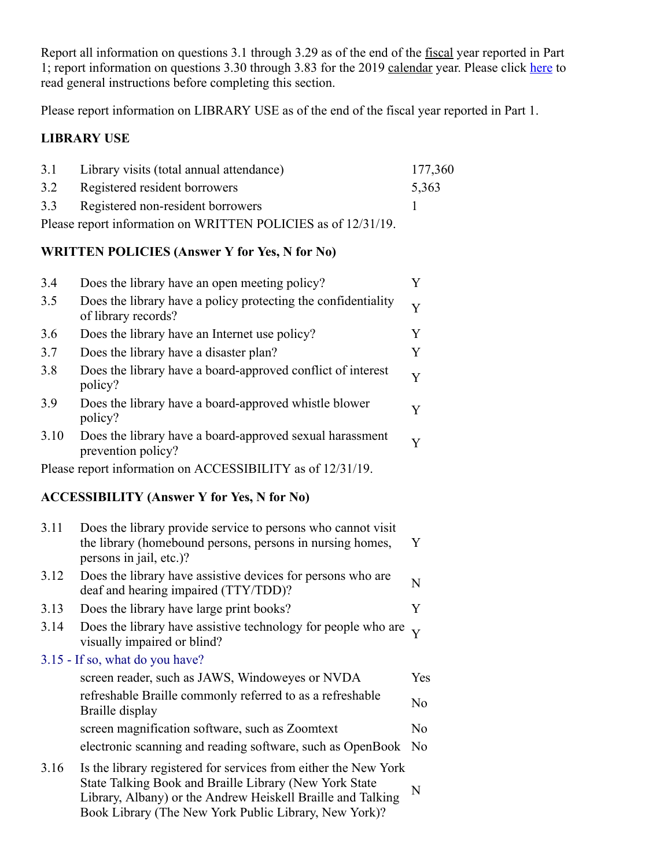Report all information on questions 3.1 through 3.29 as of the end of the fiscal year reported in Part 1; report information on questions 3.30 through 3.83 for the 2019 calendar year. Please click here to read general instructions before completing this section.

Please report information on LIBRARY USE as of the end of the fiscal year reported in Part 1.

### **LIBRARY USE**

|     | 3.1 Library visits (total annual attendance)                  | 177,360 |
|-----|---------------------------------------------------------------|---------|
| 3.2 | Registered resident borrowers                                 | 5,363   |
|     | 3.3 Registered non-resident borrowers                         |         |
|     | Please report information on WRITTEN POLICIES as of 12/31/19. |         |

#### **WRITTEN POLICIES (Answer Y for Yes, N for No)**

| 3.4  | Does the library have an open meeting policy?                                        |   |
|------|--------------------------------------------------------------------------------------|---|
| 3.5  | Does the library have a policy protecting the confidentiality<br>of library records? | Y |
| 3.6  | Does the library have an Internet use policy?                                        | Y |
| 3.7  | Does the library have a disaster plan?                                               | Y |
| 3.8  | Does the library have a board-approved conflict of interest<br>policy?               | Y |
| 3.9  | Does the library have a board-approved whistle blower<br>policy?                     | Y |
| 3.10 | Does the library have a board-approved sexual harassment<br>prevention policy?       | Y |
|      | Please report information on ACCESSIBILITY as of 12/31/19.                           |   |

# **ACCESSIBILITY (Answer Y for Yes, N for No)**

| 3.11 | Does the library provide service to persons who cannot visit<br>the library (homebound persons, persons in nursing homes,<br>persons in jail, etc.)?                                                                                              | Y   |
|------|---------------------------------------------------------------------------------------------------------------------------------------------------------------------------------------------------------------------------------------------------|-----|
| 3.12 | Does the library have assistive devices for persons who are<br>deaf and hearing impaired (TTY/TDD)?                                                                                                                                               | N   |
| 3.13 | Does the library have large print books?                                                                                                                                                                                                          | Y   |
| 3.14 | Does the library have assistive technology for people who are<br>visually impaired or blind?                                                                                                                                                      |     |
|      | 3.15 - If so, what do you have?                                                                                                                                                                                                                   |     |
|      | screen reader, such as JAWS, Windoweyes or NVDA                                                                                                                                                                                                   | Yes |
|      | refreshable Braille commonly referred to as a refreshable<br>Braille display                                                                                                                                                                      | No  |
|      | screen magnification software, such as Zoomtext                                                                                                                                                                                                   | No  |
|      | electronic scanning and reading software, such as OpenBook                                                                                                                                                                                        | No  |
| 3.16 | Is the library registered for services from either the New York<br>State Talking Book and Braille Library (New York State<br>Library, Albany) or the Andrew Heiskell Braille and Talking<br>Book Library (The New York Public Library, New York)? | N   |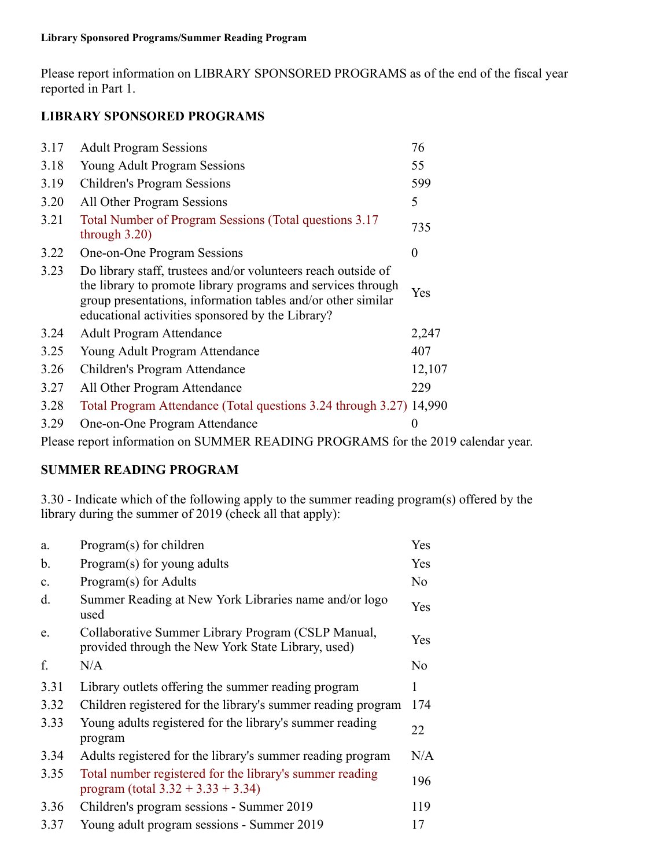Please report information on LIBRARY SPONSORED PROGRAMS as of the end of the fiscal year reported in Part 1.

### **LIBRARY SPONSORED PROGRAMS**

| 3.17 | <b>Adult Program Sessions</b>                                                                                                                                                                                                                     | 76       |
|------|---------------------------------------------------------------------------------------------------------------------------------------------------------------------------------------------------------------------------------------------------|----------|
| 3.18 | <b>Young Adult Program Sessions</b>                                                                                                                                                                                                               | 55       |
| 3.19 | <b>Children's Program Sessions</b>                                                                                                                                                                                                                | 599      |
| 3.20 | All Other Program Sessions                                                                                                                                                                                                                        | 5        |
| 3.21 | Total Number of Program Sessions (Total questions 3.17)<br>through $3.20$ )                                                                                                                                                                       | 735      |
| 3.22 | One-on-One Program Sessions                                                                                                                                                                                                                       | $\theta$ |
| 3.23 | Do library staff, trustees and/or volunteers reach outside of<br>the library to promote library programs and services through<br>group presentations, information tables and/or other similar<br>educational activities sponsored by the Library? | Yes      |
| 3.24 | <b>Adult Program Attendance</b>                                                                                                                                                                                                                   | 2,247    |
| 3.25 | Young Adult Program Attendance                                                                                                                                                                                                                    | 407      |
| 3.26 | Children's Program Attendance                                                                                                                                                                                                                     | 12,107   |
| 3.27 | All Other Program Attendance                                                                                                                                                                                                                      | 229      |
| 3.28 | Total Program Attendance (Total questions 3.24 through 3.27) 14,990                                                                                                                                                                               |          |
| 3.29 | One-on-One Program Attendance                                                                                                                                                                                                                     | $\theta$ |

Please report information on SUMMER READING PROGRAMS for the 2019 calendar year.

### **SUMMER READING PROGRAM**

3.30 - Indicate which of the following apply to the summer reading program(s) offered by the library during the summer of 2019 (check all that apply):

| a.   | Program(s) for children                                                                                  | Yes |
|------|----------------------------------------------------------------------------------------------------------|-----|
| b.   | Program(s) for young adults                                                                              | Yes |
| c.   | Program(s) for Adults                                                                                    | No  |
| d.   | Summer Reading at New York Libraries name and/or logo<br>used                                            | Yes |
| e.   | Collaborative Summer Library Program (CSLP Manual,<br>provided through the New York State Library, used) | Yes |
| f.   | N/A                                                                                                      | No  |
| 3.31 | Library outlets offering the summer reading program                                                      | 1   |
| 3.32 | Children registered for the library's summer reading program                                             | 174 |
| 3.33 | Young adults registered for the library's summer reading<br>program                                      | 22  |
| 3.34 | Adults registered for the library's summer reading program                                               | N/A |
| 3.35 | Total number registered for the library's summer reading<br>program (total $3.32 + 3.33 + 3.34$ )        | 196 |
| 3.36 | Children's program sessions - Summer 2019                                                                | 119 |
| 3.37 | Young adult program sessions - Summer 2019                                                               | 17  |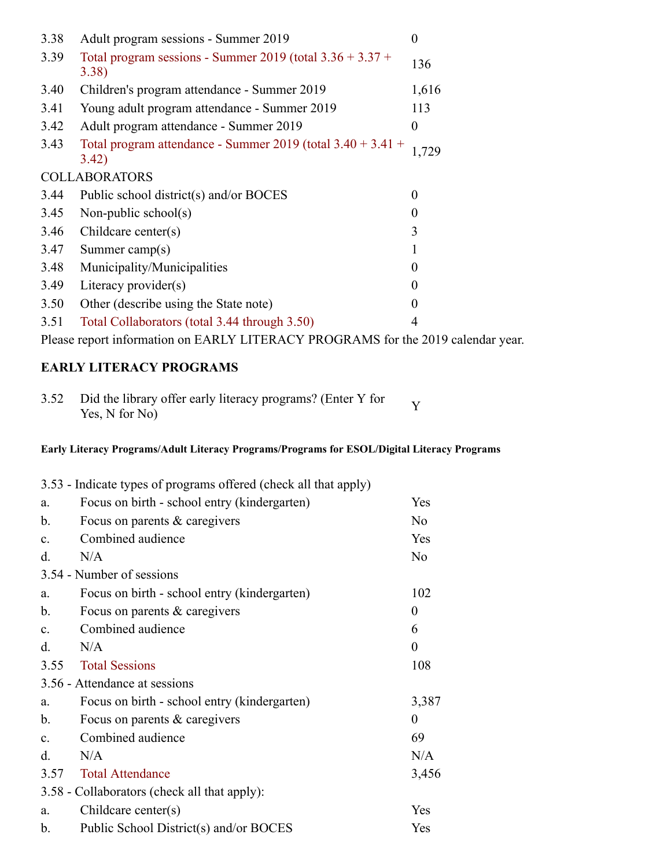| 3.38 | Adult program sessions - Summer 2019                                   | $\overline{0}$ |
|------|------------------------------------------------------------------------|----------------|
| 3.39 | Total program sessions - Summer 2019 (total $3.36 + 3.37 +$<br>3.38)   | 136            |
| 3.40 | Children's program attendance - Summer 2019                            | 1,616          |
| 3.41 | Young adult program attendance - Summer 2019                           | 113            |
| 3.42 | Adult program attendance - Summer 2019                                 | $\overline{0}$ |
| 3.43 | Total program attendance - Summer 2019 (total $3.40 + 3.41 +$<br>3.42) | 1,729          |
|      | <b>COLLABORATORS</b>                                                   |                |
| 3.44 | Public school district(s) and/or BOCES                                 | $\theta$       |
| 3.45 | Non-public school(s)                                                   | $\theta$       |
| 3.46 | Childcare center $(s)$                                                 | 3              |
| 3.47 | Summer camp $(s)$                                                      | 1              |
| 3.48 | Municipality/Municipalities                                            | $\Omega$       |
| 3.49 | Literacy provider $(s)$                                                | $\Omega$       |
| 3.50 | Other (describe using the State note)                                  | $\theta$       |
| 3.51 | Total Collaborators (total 3.44 through 3.50)                          | 4              |
|      |                                                                        |                |

Please report information on EARLY LITERACY PROGRAMS for the 2019 calendar year.

### **EARLY LITERACY PROGRAMS**

| 3.52 Did the library offer early literacy programs? (Enter Y for |  |
|------------------------------------------------------------------|--|
| Yes, N for No)                                                   |  |

### **Early Literacy Programs/Adult Literacy Programs/Programs for ESOL/Digital Literacy Programs**

|                | 3.53 - Indicate types of programs offered (check all that apply) |          |
|----------------|------------------------------------------------------------------|----------|
| a.             | Focus on birth - school entry (kindergarten)                     | Yes      |
| b.             | Focus on parents & caregivers                                    | No       |
| $\mathbf{c}$ . | Combined audience                                                | Yes      |
| d.             | N/A                                                              | No       |
|                | 3.54 - Number of sessions                                        |          |
| a.             | Focus on birth - school entry (kindergarten)                     | 102      |
| $\mathbf b$ .  | Focus on parents & caregivers                                    | $\theta$ |
| C <sub>1</sub> | Combined audience                                                | 6        |
| d.             | N/A                                                              | 0        |
| 3.55           | <b>Total Sessions</b>                                            | 108      |
|                | 3.56 - Attendance at sessions                                    |          |
| a.             | Focus on birth - school entry (kindergarten)                     | 3,387    |
| b.             | Focus on parents & caregivers                                    | $\theta$ |
| $\mathbf{c}$ . | Combined audience                                                | 69       |
| d.             | N/A                                                              | N/A      |
| 3.57           | <b>Total Attendance</b>                                          | 3,456    |
|                | 3.58 - Collaborators (check all that apply):                     |          |
| a.             | Childcare center $(s)$                                           | Yes      |
| $\mathbf b$ .  | Public School District(s) and/or BOCES                           | Yes      |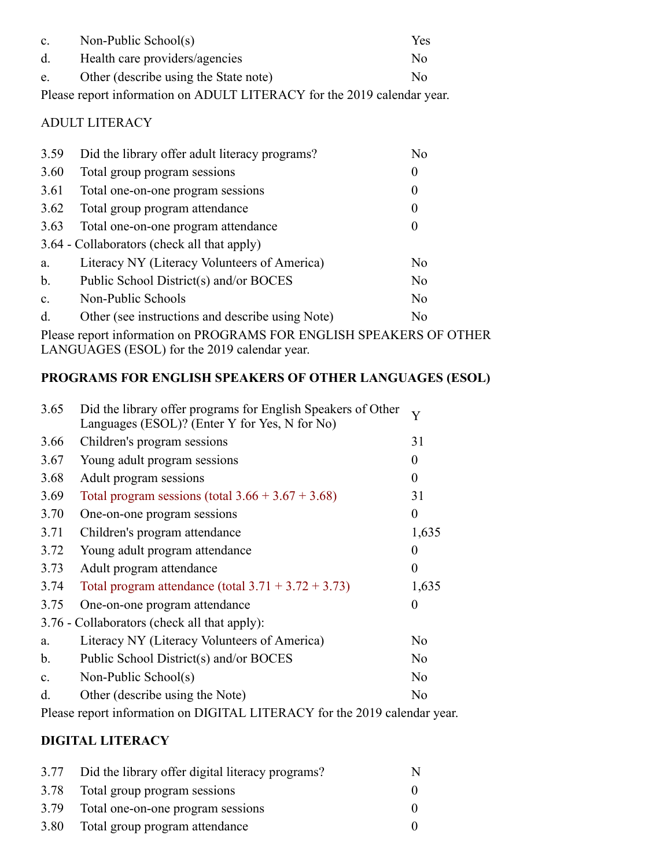| $\mathbf{c}$ . | Non-Public School(s)                                                    | Yes |
|----------------|-------------------------------------------------------------------------|-----|
| d.             | Health care providers/agencies                                          | No. |
| e.             | Other (describe using the State note)                                   | No  |
|                | Please report information on ADULT LITERACY for the 2019 calendar year. |     |

# ADULT LITERACY

| 3.59           | Did the library offer adult literacy programs?   | No       |
|----------------|--------------------------------------------------|----------|
| 3.60           | Total group program sessions                     | $\theta$ |
| 3.61           | Total one-on-one program sessions                | $\theta$ |
| 3.62           | Total group program attendance                   | $\theta$ |
| 3.63           | Total one-on-one program attendance              | $\theta$ |
|                | 3.64 - Collaborators (check all that apply)      |          |
| a.             | Literacy NY (Literacy Volunteers of America)     | No       |
| $\mathbf b$ .  | Public School District(s) and/or BOCES           | No       |
| $\mathbf{c}$ . | Non-Public Schools                               | No       |
| d.             | Other (see instructions and describe using Note) | No       |

Please report information on PROGRAMS FOR ENGLISH SPEAKERS OF OTHER LANGUAGES (ESOL) for the 2019 calendar year.

### **PROGRAMS FOR ENGLISH SPEAKERS OF OTHER LANGUAGES (ESOL)**

| 3.65          | Did the library offer programs for English Speakers of Other<br>Languages (ESOL)? (Enter Y for Yes, N for No) | Y              |
|---------------|---------------------------------------------------------------------------------------------------------------|----------------|
| 3.66          | Children's program sessions                                                                                   | 31             |
| 3.67          | Young adult program sessions                                                                                  | 0              |
| 3.68          | Adult program sessions                                                                                        | $\theta$       |
| 3.69          | Total program sessions (total $3.66 + 3.67 + 3.68$ )                                                          | 31             |
| 3.70          | One-on-one program sessions                                                                                   | 0              |
| 3.71          | Children's program attendance                                                                                 | 1,635          |
| 3.72          | Young adult program attendance                                                                                | 0              |
| 3.73          | Adult program attendance                                                                                      | 0              |
| 3.74          | Total program attendance (total $3.71 + 3.72 + 3.73$ )                                                        | 1,635          |
| 3.75          | One-on-one program attendance                                                                                 | 0              |
|               | 3.76 - Collaborators (check all that apply):                                                                  |                |
| a.            | Literacy NY (Literacy Volunteers of America)                                                                  | N <sub>o</sub> |
| $\mathbf b$ . | Public School District(s) and/or BOCES                                                                        | No             |
| $C_{\bullet}$ | Non-Public School(s)                                                                                          | N <sub>o</sub> |
| d.            | Other (describe using the Note)                                                                               | No             |
|               |                                                                                                               |                |

Please report information on DIGITAL LITERACY for the 2019 calendar year.

### **DIGITAL LITERACY**

|      | 3.77 Did the library offer digital literacy programs? |  |
|------|-------------------------------------------------------|--|
|      | 3.78 Total group program sessions                     |  |
| 3.79 | Total one-on-one program sessions                     |  |
|      | 3.80 Total group program attendance                   |  |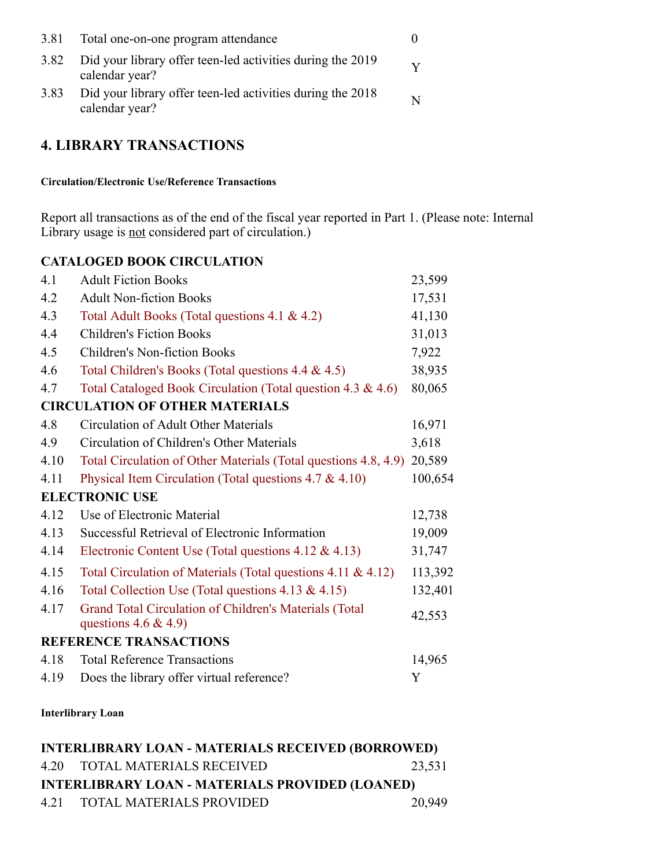| 3.81 | Total one-on-one program attendance                                          |  |
|------|------------------------------------------------------------------------------|--|
| 3.82 | Did your library offer teen-led activities during the 2019<br>calendar year? |  |
| 3.83 | Did your library offer teen-led activities during the 2018<br>calendar year? |  |

# **4. LIBRARY TRANSACTIONS**

**Circulation/Electronic Use/Reference Transactions**

Report all transactions as of the end of the fiscal year reported in Part 1. (Please note: Internal Library usage is not considered part of circulation.)

### **CATALOGED BOOK CIRCULATION**

| 4.1  | <b>Adult Fiction Books</b>                                                       | 23,599  |
|------|----------------------------------------------------------------------------------|---------|
| 4.2  | <b>Adult Non-fiction Books</b>                                                   | 17,531  |
| 4.3  | Total Adult Books (Total questions 4.1 & 4.2)                                    | 41,130  |
| 4.4  | <b>Children's Fiction Books</b>                                                  | 31,013  |
| 4.5  | <b>Children's Non-fiction Books</b>                                              | 7,922   |
| 4.6  | Total Children's Books (Total questions 4.4 & 4.5)                               | 38,935  |
| 4.7  | Total Cataloged Book Circulation (Total question 4.3 & 4.6)                      | 80,065  |
|      | <b>CIRCULATION OF OTHER MATERIALS</b>                                            |         |
| 4.8  | Circulation of Adult Other Materials                                             | 16,971  |
| 4.9  | Circulation of Children's Other Materials                                        | 3,618   |
| 4.10 | Total Circulation of Other Materials (Total questions 4.8, 4.9)                  | 20,589  |
| 4.11 | Physical Item Circulation (Total questions $4.7 \& 4.10$ )                       | 100,654 |
|      | <b>ELECTRONIC USE</b>                                                            |         |
| 4.12 | Use of Electronic Material                                                       | 12,738  |
| 4.13 | Successful Retrieval of Electronic Information                                   | 19,009  |
| 4.14 | Electronic Content Use (Total questions 4.12 & 4.13)                             | 31,747  |
| 4.15 | Total Circulation of Materials (Total questions 4.11 & 4.12)                     | 113,392 |
| 4.16 | Total Collection Use (Total questions $4.13 \& 4.15$ )                           | 132,401 |
| 4.17 | Grand Total Circulation of Children's Materials (Total<br>questions $4.6 \& 4.9$ | 42,553  |
|      | REFERENCE TRANSACTIONS                                                           |         |
| 4.18 | <b>Total Reference Transactions</b>                                              | 14,965  |
| 4.19 | Does the library offer virtual reference?                                        | Y       |
|      |                                                                                  |         |

#### **Interlibrary Loan**

| <b>INTERLIBRARY LOAN - MATERIALS RECEIVED (BORROWED)</b> |                               |        |  |
|----------------------------------------------------------|-------------------------------|--------|--|
|                                                          | 4.20 TOTAL MATERIALS RECEIVED | 23,531 |  |
| <b>INTERLIBRARY LOAN - MATERIALS PROVIDED (LOANED)</b>   |                               |        |  |
|                                                          | 4.21 TOTAL MATERIALS PROVIDED | 20,949 |  |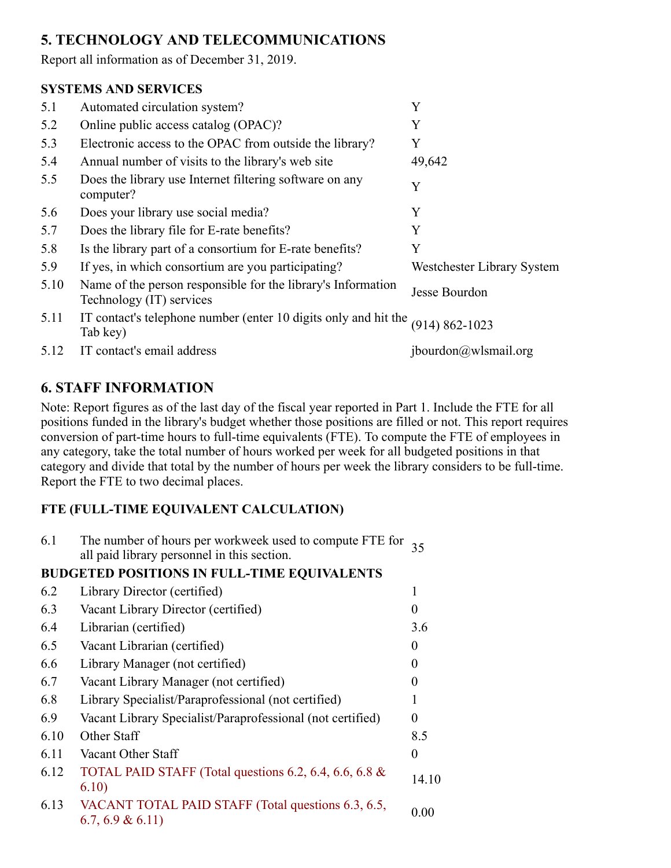# **5. TECHNOLOGY AND TELECOMMUNICATIONS**

Report all information as of December 31, 2019.

### **SYSTEMS AND SERVICES**

| 5.1  | Automated circulation system?                                                            | Y                          |
|------|------------------------------------------------------------------------------------------|----------------------------|
| 5.2  | Online public access catalog (OPAC)?                                                     | Y                          |
| 5.3  | Electronic access to the OPAC from outside the library?                                  | Y                          |
| 5.4  | Annual number of visits to the library's web site                                        | 49,642                     |
| 5.5  | Does the library use Internet filtering software on any<br>computer?                     | Y                          |
| 5.6  | Does your library use social media?                                                      | Y                          |
| 5.7  | Does the library file for E-rate benefits?                                               | Y                          |
| 5.8  | Is the library part of a consortium for E-rate benefits?                                 | Y                          |
| 5.9  | If yes, in which consortium are you participating?                                       | Westchester Library System |
| 5.10 | Name of the person responsible for the library's Information<br>Technology (IT) services | Jesse Bourdon              |
| 5.11 | IT contact's telephone number (enter 10 digits only and hit the<br>Tab key)              | $(914) 862 - 1023$         |
| 5.12 | IT contact's email address                                                               | ibour don@wlsmail.org      |

# **6. STAFF INFORMATION**

Note: Report figures as of the last day of the fiscal year reported in Part 1. Include the FTE for all positions funded in the library's budget whether those positions are filled or not. This report requires conversion of part-time hours to full-time equivalents (FTE). To compute the FTE of employees in any category, take the total number of hours worked per week for all budgeted positions in that category and divide that total by the number of hours per week the library considers to be full-time. Report the FTE to two decimal places.

# **FTE (FULL-TIME EQUIVALENT CALCULATION)**

6.1 The number of hours per workweek used to compute FTE for all paid library personnel in this section. <sup>35</sup>

# **BUDGETED POSITIONS IN FULL-TIME EQUIVALENTS**

| 6.2  | Library Director (certified)                                          |          |
|------|-----------------------------------------------------------------------|----------|
| 6.3  | Vacant Library Director (certified)                                   | $\theta$ |
| 6.4  | Librarian (certified)                                                 | 3.6      |
| 6.5  | Vacant Librarian (certified)                                          | $\Omega$ |
| 6.6  | Library Manager (not certified)                                       | $\theta$ |
| 6.7  | Vacant Library Manager (not certified)                                | $\theta$ |
| 6.8  | Library Specialist/Paraprofessional (not certified)                   |          |
| 6.9  | Vacant Library Specialist/Paraprofessional (not certified)            | 0        |
| 6.10 | Other Staff                                                           | 8.5      |
| 6.11 | Vacant Other Staff                                                    | 0        |
| 6.12 | TOTAL PAID STAFF (Total questions 6.2, 6.4, 6.6, 6.8 $\&$<br>6.10)    | 14.10    |
| 6.13 | VACANT TOTAL PAID STAFF (Total questions 6.3, 6.5,<br>6.7, 6.9 & 6.11 | 0.00     |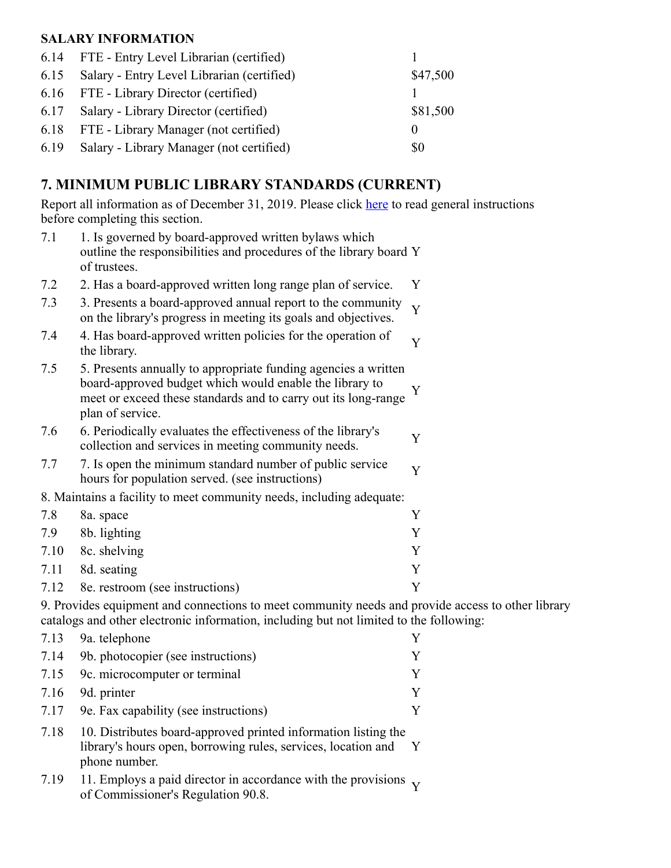### **SALARY INFORMATION**

| 6.14 FTE - Entry Level Librarian (certified)    |          |
|-------------------------------------------------|----------|
| 6.15 Salary - Entry Level Librarian (certified) | \$47,500 |
| 6.16 FTE - Library Director (certified)         |          |
| 6.17 Salary - Library Director (certified)      | \$81,500 |
| 6.18 FTE - Library Manager (not certified)      | $\theta$ |
| 6.19 Salary - Library Manager (not certified)   | \$0      |

# **7. MINIMUM PUBLIC LIBRARY STANDARDS (CURRENT)**

Report all information as of December 31, 2019. Please click here to read general instructions before completing this section.

| 7.1                                                                                               | 1. Is governed by board-approved written bylaws which<br>outline the responsibilities and procedures of the library board Y<br>of trustees.                                                                     |   |
|---------------------------------------------------------------------------------------------------|-----------------------------------------------------------------------------------------------------------------------------------------------------------------------------------------------------------------|---|
| 7.2                                                                                               | 2. Has a board-approved written long range plan of service.                                                                                                                                                     | Y |
| 7.3                                                                                               | 3. Presents a board-approved annual report to the community<br>on the library's progress in meeting its goals and objectives.                                                                                   | Y |
| 7.4                                                                                               | 4. Has board-approved written policies for the operation of<br>the library.                                                                                                                                     | Y |
| 7.5                                                                                               | 5. Presents annually to appropriate funding agencies a written<br>board-approved budget which would enable the library to<br>meet or exceed these standards and to carry out its long-range<br>plan of service. | Y |
| 7.6                                                                                               | 6. Periodically evaluates the effectiveness of the library's<br>collection and services in meeting community needs.                                                                                             | Y |
| 7.7                                                                                               | 7. Is open the minimum standard number of public service<br>hours for population served. (see instructions)                                                                                                     | Y |
|                                                                                                   | 8. Maintains a facility to meet community needs, including adequate:                                                                                                                                            |   |
| 7.8                                                                                               | 8a. space                                                                                                                                                                                                       | Y |
| 7.9                                                                                               | 8b. lighting                                                                                                                                                                                                    | Y |
| 7.10                                                                                              | 8c. shelving                                                                                                                                                                                                    | Y |
| 7.11                                                                                              | 8d. seating                                                                                                                                                                                                     | Y |
| 7.12                                                                                              | 8e. restroom (see instructions)                                                                                                                                                                                 | Y |
| 9. Provides equipment and connections to meet community needs and provide access to other library |                                                                                                                                                                                                                 |   |
|                                                                                                   | catalogs and other electronic information, including but not limited to the following:                                                                                                                          |   |

| 7.13 | 9a. telephone                                                                                                                                    |              |
|------|--------------------------------------------------------------------------------------------------------------------------------------------------|--------------|
| 7.14 | 9b. photocopier (see instructions)                                                                                                               |              |
| 7.15 | 9c. microcomputer or terminal                                                                                                                    |              |
| 7.16 | 9d. printer                                                                                                                                      |              |
| 7.17 | 9e. Fax capability (see instructions)                                                                                                            |              |
| 7.18 | 10. Distributes board-approved printed information listing the<br>library's hours open, borrowing rules, services, location and<br>phone number. | $\mathbf{Y}$ |
| 7.19 | 11. Employs a paid director in accordance with the provisions $\overline{\phantom{a}}$ .                                                         |              |

7.19 11. Employs a paid director in accordance with the provisions of Commissioner's Regulation 90.8. <sup>Y</sup>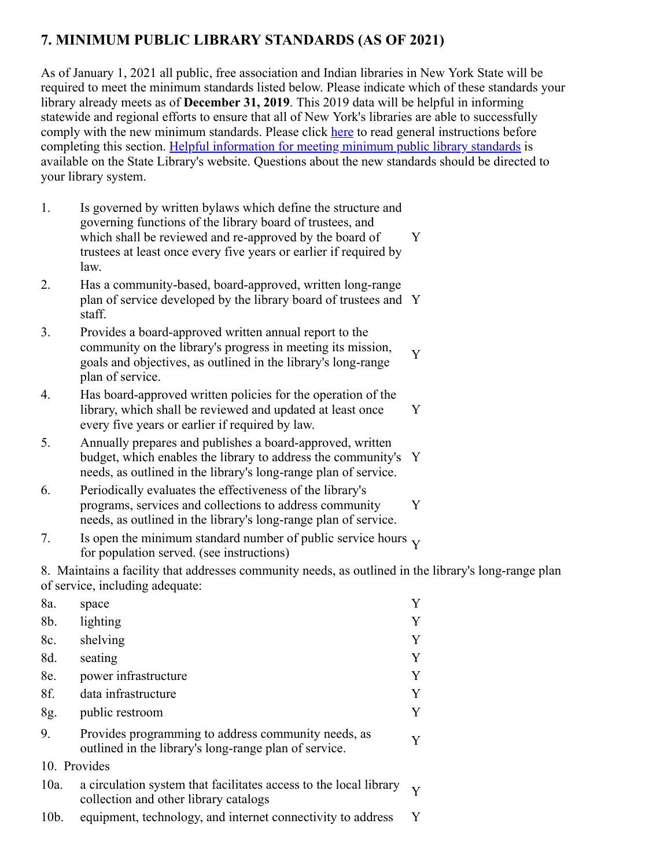# **7. MINIMUM PUBLIC LIBRARY STANDARDS (AS OF 2021)**

As of January 1, 2021 all public, free association and Indian libraries in New York State will be required to meet the minimum standards listed below. Please indicate which of these standards your library already meets as of **December 31, 2019**. This 2019 data will be helpful in informing statewide and regional efforts to ensure that all of New York's libraries are able to successfully comply with the new minimum standards. Please click here to read general instructions before completing this section. [Helpful information for meeting minimum public library standards](http://www.nysl.nysed.gov/libdev/helpful/index.html) is available on the State Library's website. Questions about the new standards should be directed to your library system.

- 1. Is governed by written bylaws which define the structure and governing functions of the library board of trustees, and which shall be reviewed and re-approved by the board of trustees at least once every five years or earlier if required by law. Y
- 2. Has a community-based, board-approved, written long-range plan of service developed by the library board of trustees and Y staff.
- 3. Provides a board-approved written annual report to the community on the library's progress in meeting its mission, goals and objectives, as outlined in the library's long-range plan of service. Y
- 4. Has board-approved written policies for the operation of the library, which shall be reviewed and updated at least once every five years or earlier if required by law. Y
- 5. Annually prepares and publishes a board-approved, written budget, which enables the library to address the community's Y needs, as outlined in the library's long-range plan of service.
- 6. Periodically evaluates the effectiveness of the library's programs, services and collections to address community needs, as outlined in the library's long-range plan of service. Y
- 7. Is open the minimum standard number of public service hours  $\gamma$  for population served. (see instructions)

8. Maintains a facility that addresses community needs, as outlined in the library's long-range plan of service, including adequate:

| 8a.          | space                                                                                                        | Y            |
|--------------|--------------------------------------------------------------------------------------------------------------|--------------|
| 8b.          | lighting                                                                                                     | Y            |
| 8c.          | shelving                                                                                                     | Y            |
| 8d.          | seating                                                                                                      | Y            |
| 8e.          | power infrastructure                                                                                         | Y            |
| 8f.          | data infrastructure                                                                                          | Y            |
| 8g.          | public restroom                                                                                              | Y            |
| 9.           | Provides programming to address community needs, as<br>outlined in the library's long-range plan of service. | Y            |
| 10. Provides |                                                                                                              |              |
| $10a$ .      | a circulation system that facilitates access to the local library<br>collection and other library catalogs   | $\mathbf{V}$ |
| $10b$ .      | equipment, technology, and internet connectivity to address                                                  | Y            |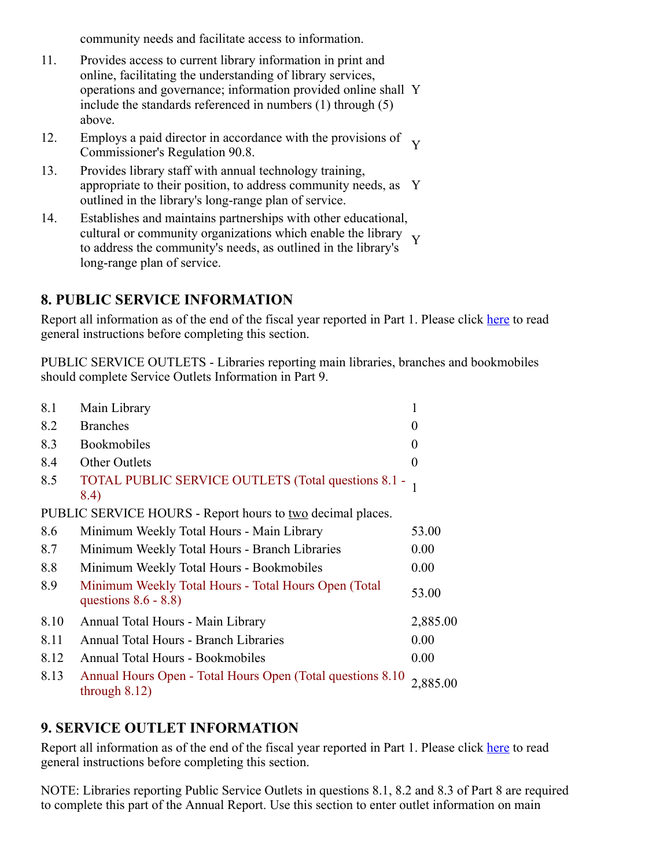community needs and facilitate access to information.

- 11. Provides access to current library information in print and online, facilitating the understanding of library services, operations and governance; information provided online shall Y include the standards referenced in numbers (1) through (5) above.
- 12. Employs a paid director in accordance with the provisions of Y<br>Commissioner's Regulation 90.8.
- 13. Provides library staff with annual technology training, appropriate to their position, to address community needs, as Y outlined in the library's long-range plan of service.
- 14. Establishes and maintains partnerships with other educational, cultural or community organizations which enable the library<br>the address the community's needs as outlined in the library's to address the community's needs, as outlined in the library's long-range plan of service.

### **8. PUBLIC SERVICE INFORMATION**

Report all information as of the end of the fiscal year reported in Part 1. Please click here to read general instructions before completing this section.

PUBLIC SERVICE OUTLETS - Libraries reporting main libraries, branches and bookmobiles should complete Service Outlets Information in Part 9.

| 8.1  | Main Library                                                                    | $\mathbf{1}$ |
|------|---------------------------------------------------------------------------------|--------------|
| 8.2  | <b>Branches</b>                                                                 | $\theta$     |
| 8.3  | Bookmobiles                                                                     | $\theta$     |
| 8.4  | <b>Other Outlets</b>                                                            | $\Omega$     |
| 8.5  | TOTAL PUBLIC SERVICE OUTLETS (Total questions 8.1 -<br>8.4)                     |              |
|      | PUBLIC SERVICE HOURS - Report hours to <u>two</u> decimal places.               |              |
| 8.6  | Minimum Weekly Total Hours - Main Library                                       | 53.00        |
| 8.7  | Minimum Weekly Total Hours - Branch Libraries                                   | 0.00         |
| 8.8  | Minimum Weekly Total Hours - Bookmobiles                                        | 0.00         |
| 8.9  | Minimum Weekly Total Hours - Total Hours Open (Total<br>questions $8.6 - 8.8$ ) | 53.00        |
| 8.10 | Annual Total Hours - Main Library                                               | 2,885.00     |
| 8.11 | <b>Annual Total Hours - Branch Libraries</b>                                    | 0.00         |
| 8.12 | <b>Annual Total Hours - Bookmobiles</b>                                         | 0.00         |
| 8.13 | Annual Hours Open - Total Hours Open (Total questions 8.10)<br>through $8.12$ ) | 2,885.00     |

# **9. SERVICE OUTLET INFORMATION**

Report all information as of the end of the fiscal year reported in Part 1. Please click here to read general instructions before completing this section.

NOTE: Libraries reporting Public Service Outlets in questions 8.1, 8.2 and 8.3 of Part 8 are required to complete this part of the Annual Report. Use this section to enter outlet information on main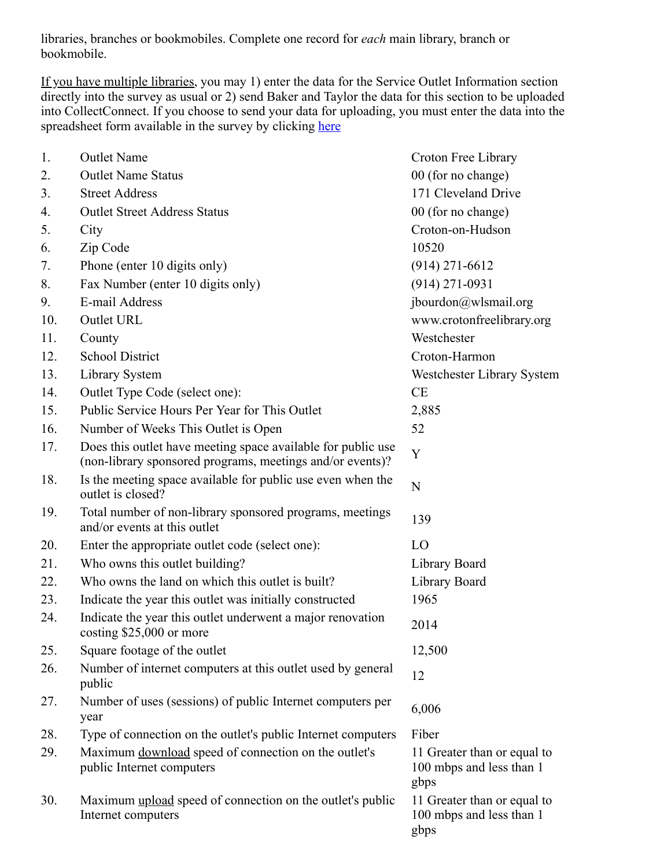libraries, branches or bookmobiles. Complete one record for *each* main library, branch or bookmobile.

If you have multiple libraries, you may 1) enter the data for the Service Outlet Information section directly into the survey as usual or 2) send Baker and Taylor the data for this section to be uploaded into CollectConnect. If you choose to send your data for uploading, you must enter the data into the spreadsheet form available in the survey by clicking [here](https://collectconnect.baker-taylor.com/NYOutlet/2019/**OrgID**.xlsx)

| 1.  | <b>Outlet Name</b>                                                                                                        | Croton Free Library                                             |
|-----|---------------------------------------------------------------------------------------------------------------------------|-----------------------------------------------------------------|
| 2.  | <b>Outlet Name Status</b>                                                                                                 | 00 (for no change)                                              |
| 3.  | <b>Street Address</b>                                                                                                     | 171 Cleveland Drive                                             |
| 4.  | <b>Outlet Street Address Status</b>                                                                                       | 00 (for no change)                                              |
| 5.  | City                                                                                                                      | Croton-on-Hudson                                                |
| 6.  | Zip Code                                                                                                                  | 10520                                                           |
| 7.  | Phone (enter 10 digits only)                                                                                              | $(914)$ 271-6612                                                |
| 8.  | Fax Number (enter 10 digits only)                                                                                         | $(914)$ 271-0931                                                |
| 9.  | E-mail Address                                                                                                            | jbourdon@wlsmail.org                                            |
| 10. | Outlet URL                                                                                                                | www.crotonfreelibrary.org                                       |
| 11. | County                                                                                                                    | Westchester                                                     |
| 12. | <b>School District</b>                                                                                                    | Croton-Harmon                                                   |
| 13. | Library System                                                                                                            | Westchester Library System                                      |
| 14. | Outlet Type Code (select one):                                                                                            | CE                                                              |
| 15. | Public Service Hours Per Year for This Outlet                                                                             | 2,885                                                           |
| 16. | Number of Weeks This Outlet is Open                                                                                       | 52                                                              |
| 17. | Does this outlet have meeting space available for public use<br>(non-library sponsored programs, meetings and/or events)? | Y                                                               |
| 18. | Is the meeting space available for public use even when the<br>outlet is closed?                                          | $\mathbf N$                                                     |
| 19. | Total number of non-library sponsored programs, meetings<br>and/or events at this outlet                                  | 139                                                             |
| 20. | Enter the appropriate outlet code (select one):                                                                           | LO                                                              |
| 21. | Who owns this outlet building?                                                                                            | Library Board                                                   |
| 22. | Who owns the land on which this outlet is built?                                                                          | Library Board                                                   |
| 23. | Indicate the year this outlet was initially constructed                                                                   | 1965                                                            |
| 24. | Indicate the year this outlet underwent a major renovation<br>costing \$25,000 or more                                    | 2014                                                            |
| 25. | Square footage of the outlet                                                                                              | 12,500                                                          |
| 26. | Number of internet computers at this outlet used by general<br>public                                                     | 12                                                              |
| 27. | Number of uses (sessions) of public Internet computers per<br>year                                                        | 6,006                                                           |
| 28. | Type of connection on the outlet's public Internet computers                                                              | Fiber                                                           |
| 29. | Maximum download speed of connection on the outlet's<br>public Internet computers                                         | 11 Greater than or equal to<br>100 mbps and less than 1<br>gbps |
| 30. | Maximum upload speed of connection on the outlet's public<br>Internet computers                                           | 11 Greater than or equal to<br>100 mbps and less than 1<br>gbps |
|     |                                                                                                                           |                                                                 |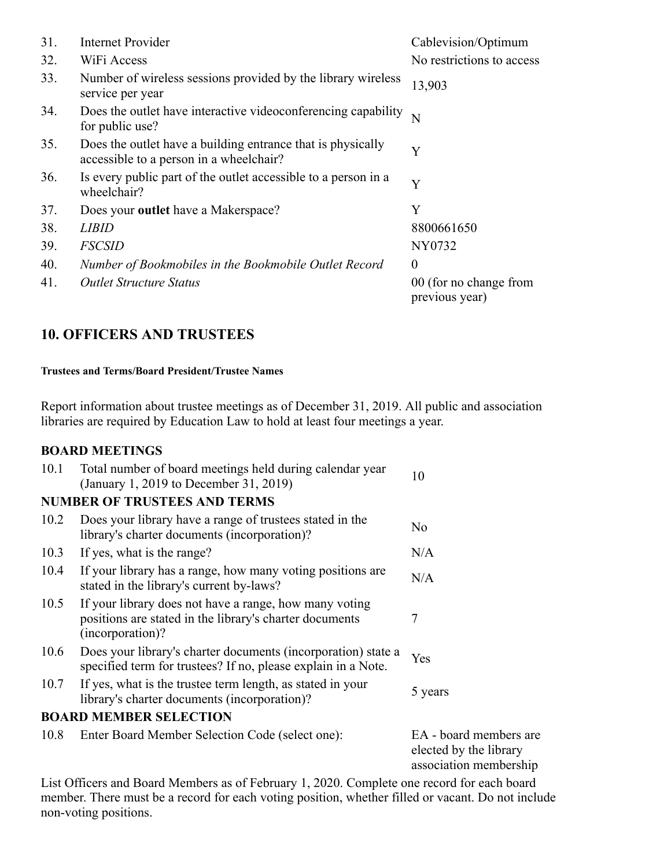| 31. | <b>Internet Provider</b>                                                                               | Cablevision/Optimum                      |
|-----|--------------------------------------------------------------------------------------------------------|------------------------------------------|
| 32. | WiFi Access                                                                                            | No restrictions to access                |
| 33. | Number of wireless sessions provided by the library wireless<br>service per year                       | 13,903                                   |
| 34. | Does the outlet have interactive videoconferencing capability<br>for public use?                       | N                                        |
| 35. | Does the outlet have a building entrance that is physically<br>accessible to a person in a wheelchair? | Y                                        |
| 36. | Is every public part of the outlet accessible to a person in a<br>wheelchair?                          | Y                                        |
| 37. | Does your <b>outlet</b> have a Makerspace?                                                             | Y                                        |
| 38. | <i>LIBID</i>                                                                                           | 8800661650                               |
| 39. | <b>FSCSID</b>                                                                                          | NY0732                                   |
| 40. | Number of Bookmobiles in the Bookmobile Outlet Record                                                  | $\overline{0}$                           |
| 41. | <b>Outlet Structure Status</b>                                                                         | 00 (for no change from<br>previous year) |

# **10. OFFICERS AND TRUSTEES**

#### **Trustees and Terms/Board President/Trustee Names**

Report information about trustee meetings as of December 31, 2019. All public and association libraries are required by Education Law to hold at least four meetings a year.

#### **BOARD MEETINGS**

| 10.1 | Total number of board meetings held during calendar year<br>(January 1, 2019 to December 31, 2019)                                    |              |
|------|---------------------------------------------------------------------------------------------------------------------------------------|--------------|
|      | <b>NUMBER OF TRUSTEES AND TERMS</b>                                                                                                   |              |
| 10.2 | Does your library have a range of trustees stated in the<br>library's charter documents (incorporation)?                              | No.          |
| 10.3 | If yes, what is the range?                                                                                                            | N/A          |
| 10.4 | If your library has a range, how many voting positions are<br>stated in the library's current by-laws?                                | N/A          |
| 10.5 | If your library does not have a range, how many voting<br>positions are stated in the library's charter documents<br>(incorporation)? | 7            |
| 10.6 | Does your library's charter documents (incorporation) state a<br>specified term for trustees? If no, please explain in a Note.        | Yes          |
| 10.7 | If yes, what is the trustee term length, as stated in your<br>library's charter documents (incorporation)?                            | 5 years      |
|      | <b>BOARD MEMBER SELECTION</b>                                                                                                         |              |
| 10.8 | Enter Board Member Selection Code (select one):                                                                                       | EA - board n |

nembers are elected by the library association membership

List Officers and Board Members as of February 1, 2020. Complete one record for each board member. There must be a record for each voting position, whether filled or vacant. Do not include non-voting positions.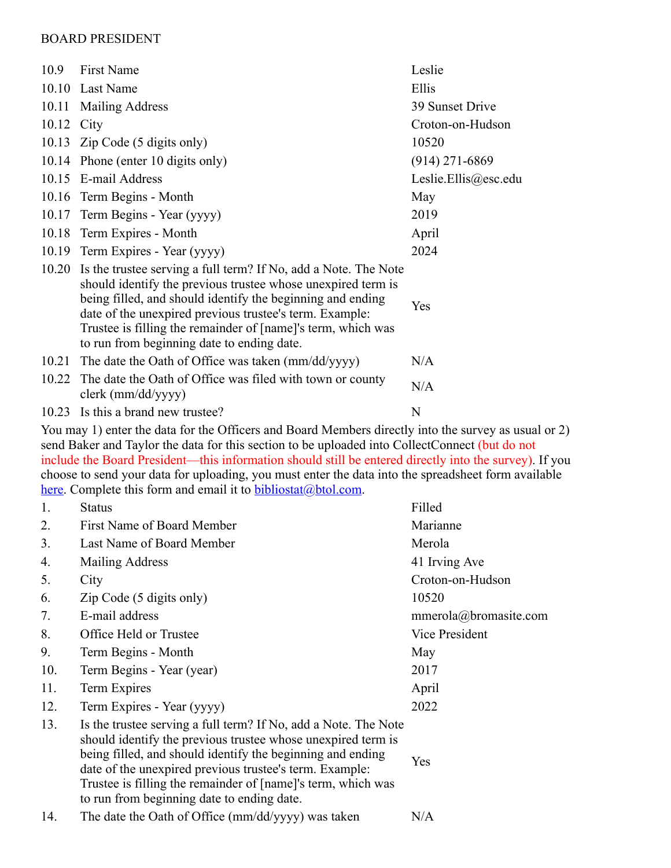#### BOARD PRESIDENT

| 10.9  | <b>First Name</b>                                                                                                                                                                                                                                                                                                                                                      | Leslie               |
|-------|------------------------------------------------------------------------------------------------------------------------------------------------------------------------------------------------------------------------------------------------------------------------------------------------------------------------------------------------------------------------|----------------------|
|       | 10.10 Last Name                                                                                                                                                                                                                                                                                                                                                        | Ellis                |
|       | 10.11 Mailing Address                                                                                                                                                                                                                                                                                                                                                  | 39 Sunset Drive      |
| 10.12 | City                                                                                                                                                                                                                                                                                                                                                                   | Croton-on-Hudson     |
|       | 10.13 Zip Code (5 digits only)                                                                                                                                                                                                                                                                                                                                         | 10520                |
|       | 10.14 Phone (enter 10 digits only)                                                                                                                                                                                                                                                                                                                                     | $(914)$ 271-6869     |
|       | 10.15 E-mail Address                                                                                                                                                                                                                                                                                                                                                   | Leslie.Ellis@esc.edu |
|       | 10.16 Term Begins - Month                                                                                                                                                                                                                                                                                                                                              | May                  |
|       | 10.17 Term Begins - Year (yyyy)                                                                                                                                                                                                                                                                                                                                        | 2019                 |
|       | 10.18 Term Expires - Month                                                                                                                                                                                                                                                                                                                                             | April                |
|       | 10.19 Term Expires - Year (yyyy)                                                                                                                                                                                                                                                                                                                                       | 2024                 |
| 10.20 | Is the trustee serving a full term? If No, add a Note. The Note<br>should identify the previous trustee whose unexpired term is<br>being filled, and should identify the beginning and ending<br>date of the unexpired previous trustee's term. Example:<br>Trustee is filling the remainder of [name]'s term, which was<br>to run from beginning date to ending date. | Yes                  |
| 10.21 | The date the Oath of Office was taken (mm/dd/yyyy)                                                                                                                                                                                                                                                                                                                     | N/A                  |
| 10.22 | The date the Oath of Office was filed with town or county<br>$clerk$ (mm/dd/yyyy)                                                                                                                                                                                                                                                                                      | N/A                  |
| 10.23 | Is this a brand new trustee?                                                                                                                                                                                                                                                                                                                                           | N                    |

You may 1) enter the data for the Officers and Board Members directly into the survey as usual or 2) send Baker and Taylor the data for this section to be uploaded into CollectConnect (but do not include the Board President—this information should still be entered directly into the survey). If you choose to send your data for uploading, you must enter the data into the spreadsheet form available [here.](https://collectconnect.baker-taylor.com/Officers/2019/**OrgID**.xlsx) Complete this form and email it to  $b$ ibliostat@btol.com.

| 1.  | <b>Status</b>                                                                                                                                                                                                                                                                                                                                                          | Filled                |
|-----|------------------------------------------------------------------------------------------------------------------------------------------------------------------------------------------------------------------------------------------------------------------------------------------------------------------------------------------------------------------------|-----------------------|
| 2.  | First Name of Board Member                                                                                                                                                                                                                                                                                                                                             | Marianne              |
| 3.  | Last Name of Board Member                                                                                                                                                                                                                                                                                                                                              | Merola                |
| 4.  | Mailing Address                                                                                                                                                                                                                                                                                                                                                        | 41 Irving Ave         |
| 5.  | City                                                                                                                                                                                                                                                                                                                                                                   | Croton-on-Hudson      |
| 6.  | Zip Code (5 digits only)                                                                                                                                                                                                                                                                                                                                               | 10520                 |
| 7.  | E-mail address                                                                                                                                                                                                                                                                                                                                                         | mmerola@bromasite.com |
| 8.  | Office Held or Trustee                                                                                                                                                                                                                                                                                                                                                 | Vice President        |
| 9.  | Term Begins - Month                                                                                                                                                                                                                                                                                                                                                    | May                   |
| 10. | Term Begins - Year (year)                                                                                                                                                                                                                                                                                                                                              | 2017                  |
| 11. | Term Expires                                                                                                                                                                                                                                                                                                                                                           | April                 |
| 12. | Term Expires - Year (yyyy)                                                                                                                                                                                                                                                                                                                                             | 2022                  |
| 13. | Is the trustee serving a full term? If No, add a Note. The Note<br>should identify the previous trustee whose unexpired term is<br>being filled, and should identify the beginning and ending<br>date of the unexpired previous trustee's term. Example:<br>Trustee is filling the remainder of [name]'s term, which was<br>to run from beginning date to ending date. | Yes                   |
| 14. | The date the Oath of Office (mm/dd/yyyy) was taken                                                                                                                                                                                                                                                                                                                     | N/A                   |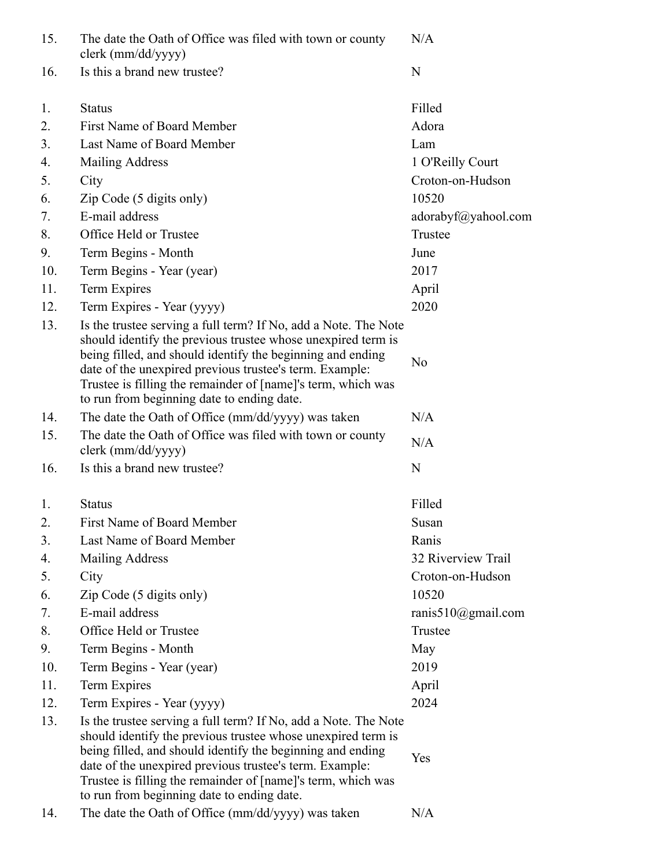| 15. | The date the Oath of Office was filed with town or county<br>clerk (mm/dd/yyyy)                                                                                                                                                                                                                                                                                        | N/A                    |
|-----|------------------------------------------------------------------------------------------------------------------------------------------------------------------------------------------------------------------------------------------------------------------------------------------------------------------------------------------------------------------------|------------------------|
| 16. | Is this a brand new trustee?                                                                                                                                                                                                                                                                                                                                           | N                      |
| 1.  | <b>Status</b>                                                                                                                                                                                                                                                                                                                                                          | Filled                 |
| 2.  | First Name of Board Member                                                                                                                                                                                                                                                                                                                                             | Adora                  |
| 3.  | Last Name of Board Member                                                                                                                                                                                                                                                                                                                                              | Lam                    |
| 4.  | <b>Mailing Address</b>                                                                                                                                                                                                                                                                                                                                                 | 1 O'Reilly Court       |
| 5.  | City                                                                                                                                                                                                                                                                                                                                                                   | Croton-on-Hudson       |
| 6.  | Zip Code (5 digits only)                                                                                                                                                                                                                                                                                                                                               | 10520                  |
| 7.  | E-mail address                                                                                                                                                                                                                                                                                                                                                         | adorabyf@yahool.com    |
| 8.  | Office Held or Trustee                                                                                                                                                                                                                                                                                                                                                 | Trustee                |
| 9.  | Term Begins - Month                                                                                                                                                                                                                                                                                                                                                    | June                   |
| 10. | Term Begins - Year (year)                                                                                                                                                                                                                                                                                                                                              | 2017                   |
| 11. | Term Expires                                                                                                                                                                                                                                                                                                                                                           | April                  |
| 12. | Term Expires - Year (yyyy)                                                                                                                                                                                                                                                                                                                                             | 2020                   |
| 13. | Is the trustee serving a full term? If No, add a Note. The Note<br>should identify the previous trustee whose unexpired term is<br>being filled, and should identify the beginning and ending<br>date of the unexpired previous trustee's term. Example:<br>Trustee is filling the remainder of [name]'s term, which was<br>to run from beginning date to ending date. | No                     |
| 14. | The date the Oath of Office (mm/dd/yyyy) was taken                                                                                                                                                                                                                                                                                                                     | N/A                    |
| 15. | The date the Oath of Office was filed with town or county<br>clerk (mm/dd/yyyy)                                                                                                                                                                                                                                                                                        | N/A                    |
| 16. | Is this a brand new trustee?                                                                                                                                                                                                                                                                                                                                           | N                      |
| 1.  | <b>Status</b>                                                                                                                                                                                                                                                                                                                                                          | Filled                 |
| 2.  | First Name of Board Member                                                                                                                                                                                                                                                                                                                                             | Susan                  |
| 3.  | Last Name of Board Member                                                                                                                                                                                                                                                                                                                                              | Ranis                  |
| 4.  | Mailing Address                                                                                                                                                                                                                                                                                                                                                        | 32 Riverview Trail     |
| 5.  | City                                                                                                                                                                                                                                                                                                                                                                   | Croton-on-Hudson       |
| 6.  | Zip Code (5 digits only)                                                                                                                                                                                                                                                                                                                                               | 10520                  |
| 7.  | E-mail address                                                                                                                                                                                                                                                                                                                                                         | ranis $510$ @gmail.com |
| 8.  | Office Held or Trustee                                                                                                                                                                                                                                                                                                                                                 | Trustee                |
| 9.  | Term Begins - Month                                                                                                                                                                                                                                                                                                                                                    | May                    |
| 10. | Term Begins - Year (year)                                                                                                                                                                                                                                                                                                                                              | 2019                   |
| 11. | Term Expires                                                                                                                                                                                                                                                                                                                                                           | April                  |
| 12. | Term Expires - Year (yyyy)                                                                                                                                                                                                                                                                                                                                             | 2024                   |
| 13. | Is the trustee serving a full term? If No, add a Note. The Note<br>should identify the previous trustee whose unexpired term is<br>being filled, and should identify the beginning and ending<br>date of the unexpired previous trustee's term. Example:<br>Trustee is filling the remainder of [name]'s term, which was<br>to run from beginning date to ending date. | Yes                    |
| 14. | The date the Oath of Office (mm/dd/yyyy) was taken                                                                                                                                                                                                                                                                                                                     | N/A                    |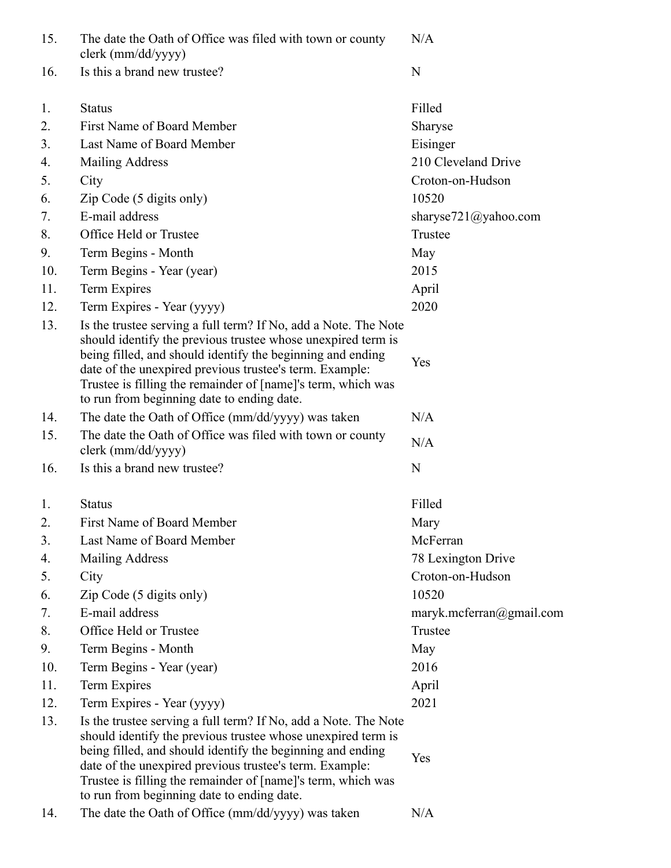| 15. | The date the Oath of Office was filed with town or county<br>clerk (mm/dd/yyyy)                                                                                                                                                                                                                                                                                        | N/A                      |
|-----|------------------------------------------------------------------------------------------------------------------------------------------------------------------------------------------------------------------------------------------------------------------------------------------------------------------------------------------------------------------------|--------------------------|
| 16. | Is this a brand new trustee?                                                                                                                                                                                                                                                                                                                                           | N                        |
| 1.  | <b>Status</b>                                                                                                                                                                                                                                                                                                                                                          | Filled                   |
| 2.  | First Name of Board Member                                                                                                                                                                                                                                                                                                                                             | Sharyse                  |
| 3.  | Last Name of Board Member                                                                                                                                                                                                                                                                                                                                              | Eisinger                 |
| 4.  | <b>Mailing Address</b>                                                                                                                                                                                                                                                                                                                                                 | 210 Cleveland Drive      |
| 5.  | City                                                                                                                                                                                                                                                                                                                                                                   | Croton-on-Hudson         |
| 6.  | Zip Code (5 digits only)                                                                                                                                                                                                                                                                                                                                               | 10520                    |
| 7.  | E-mail address                                                                                                                                                                                                                                                                                                                                                         | sharyse721@yahoo.com     |
| 8.  | Office Held or Trustee                                                                                                                                                                                                                                                                                                                                                 | Trustee                  |
| 9.  | Term Begins - Month                                                                                                                                                                                                                                                                                                                                                    | May                      |
| 10. | Term Begins - Year (year)                                                                                                                                                                                                                                                                                                                                              | 2015                     |
| 11. | Term Expires                                                                                                                                                                                                                                                                                                                                                           | April                    |
| 12. | Term Expires - Year (yyyy)                                                                                                                                                                                                                                                                                                                                             | 2020                     |
| 13. | Is the trustee serving a full term? If No, add a Note. The Note<br>should identify the previous trustee whose unexpired term is<br>being filled, and should identify the beginning and ending<br>date of the unexpired previous trustee's term. Example:<br>Trustee is filling the remainder of [name]'s term, which was<br>to run from beginning date to ending date. | Yes                      |
| 14. | The date the Oath of Office (mm/dd/yyyy) was taken                                                                                                                                                                                                                                                                                                                     | N/A                      |
| 15. | The date the Oath of Office was filed with town or county<br>clerk (mm/dd/yyyy)                                                                                                                                                                                                                                                                                        | N/A                      |
| 16. | Is this a brand new trustee?                                                                                                                                                                                                                                                                                                                                           | N                        |
| 1.  | <b>Status</b>                                                                                                                                                                                                                                                                                                                                                          | Filled                   |
| 2.  | First Name of Board Member                                                                                                                                                                                                                                                                                                                                             | Mary                     |
| 3.  | Last Name of Board Member                                                                                                                                                                                                                                                                                                                                              | McFerran                 |
| 4.  | Mailing Address                                                                                                                                                                                                                                                                                                                                                        | 78 Lexington Drive       |
| 5.  | City                                                                                                                                                                                                                                                                                                                                                                   | Croton-on-Hudson         |
| 6.  | Zip Code (5 digits only)                                                                                                                                                                                                                                                                                                                                               | 10520                    |
| 7.  | E-mail address                                                                                                                                                                                                                                                                                                                                                         | maryk.mcferran@gmail.com |
| 8.  | Office Held or Trustee                                                                                                                                                                                                                                                                                                                                                 | Trustee                  |
| 9.  | Term Begins - Month                                                                                                                                                                                                                                                                                                                                                    | May                      |
| 10. | Term Begins - Year (year)                                                                                                                                                                                                                                                                                                                                              | 2016                     |
| 11. | Term Expires                                                                                                                                                                                                                                                                                                                                                           | April                    |
| 12. | Term Expires - Year (yyyy)                                                                                                                                                                                                                                                                                                                                             | 2021                     |
| 13. | Is the trustee serving a full term? If No, add a Note. The Note<br>should identify the previous trustee whose unexpired term is<br>being filled, and should identify the beginning and ending<br>date of the unexpired previous trustee's term. Example:<br>Trustee is filling the remainder of [name]'s term, which was<br>to run from beginning date to ending date. | Yes                      |
| 14. | The date the Oath of Office (mm/dd/yyyy) was taken                                                                                                                                                                                                                                                                                                                     | N/A                      |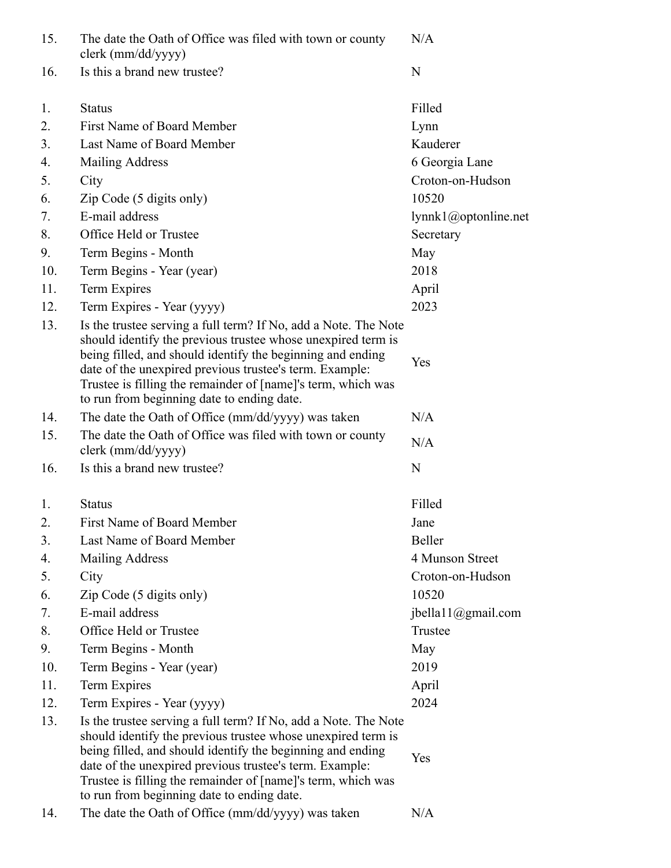| 15. | The date the Oath of Office was filed with town or county<br>clerk (mm/dd/yyyy)                                                                                                                                                                                                                                                                                        | N/A                    |
|-----|------------------------------------------------------------------------------------------------------------------------------------------------------------------------------------------------------------------------------------------------------------------------------------------------------------------------------------------------------------------------|------------------------|
| 16. | Is this a brand new trustee?                                                                                                                                                                                                                                                                                                                                           | $\mathbf N$            |
| 1.  | <b>Status</b>                                                                                                                                                                                                                                                                                                                                                          | Filled                 |
| 2.  | First Name of Board Member                                                                                                                                                                                                                                                                                                                                             | Lynn                   |
| 3.  | Last Name of Board Member                                                                                                                                                                                                                                                                                                                                              | Kauderer               |
| 4.  | <b>Mailing Address</b>                                                                                                                                                                                                                                                                                                                                                 | 6 Georgia Lane         |
| 5.  | City                                                                                                                                                                                                                                                                                                                                                                   | Croton-on-Hudson       |
| 6.  | Zip Code (5 digits only)                                                                                                                                                                                                                                                                                                                                               | 10520                  |
| 7.  | E-mail address                                                                                                                                                                                                                                                                                                                                                         | lynnk1@optonline.net   |
| 8.  | Office Held or Trustee                                                                                                                                                                                                                                                                                                                                                 | Secretary              |
| 9.  | Term Begins - Month                                                                                                                                                                                                                                                                                                                                                    | May                    |
| 10. | Term Begins - Year (year)                                                                                                                                                                                                                                                                                                                                              | 2018                   |
| 11. | Term Expires                                                                                                                                                                                                                                                                                                                                                           | April                  |
| 12. | Term Expires - Year (yyyy)                                                                                                                                                                                                                                                                                                                                             | 2023                   |
| 13. | Is the trustee serving a full term? If No, add a Note. The Note<br>should identify the previous trustee whose unexpired term is<br>being filled, and should identify the beginning and ending<br>date of the unexpired previous trustee's term. Example:<br>Trustee is filling the remainder of [name]'s term, which was<br>to run from beginning date to ending date. | Yes                    |
| 14. | The date the Oath of Office (mm/dd/yyyy) was taken                                                                                                                                                                                                                                                                                                                     | N/A                    |
| 15. | The date the Oath of Office was filed with town or county<br>clerk (mm/dd/yyyy)                                                                                                                                                                                                                                                                                        | N/A                    |
| 16. | Is this a brand new trustee?                                                                                                                                                                                                                                                                                                                                           | N                      |
| 1.  | <b>Status</b>                                                                                                                                                                                                                                                                                                                                                          | Filled                 |
| 2.  | <b>First Name of Board Member</b>                                                                                                                                                                                                                                                                                                                                      | Jane                   |
| 3.  | Last Name of Board Member                                                                                                                                                                                                                                                                                                                                              | Beller                 |
| 4.  | <b>Mailing Address</b>                                                                                                                                                                                                                                                                                                                                                 | 4 Munson Street        |
| 5.  | City                                                                                                                                                                                                                                                                                                                                                                   | Croton-on-Hudson       |
| 6.  | Zip Code (5 digits only)                                                                                                                                                                                                                                                                                                                                               | 10520                  |
| 7.  | E-mail address                                                                                                                                                                                                                                                                                                                                                         | jbella $11$ @gmail.com |
| 8.  | Office Held or Trustee                                                                                                                                                                                                                                                                                                                                                 | Trustee                |
| 9.  | Term Begins - Month                                                                                                                                                                                                                                                                                                                                                    | May                    |
| 10. | Term Begins - Year (year)                                                                                                                                                                                                                                                                                                                                              | 2019                   |
| 11. | Term Expires                                                                                                                                                                                                                                                                                                                                                           | April                  |
| 12. | Term Expires - Year (yyyy)                                                                                                                                                                                                                                                                                                                                             | 2024                   |
| 13. | Is the trustee serving a full term? If No, add a Note. The Note<br>should identify the previous trustee whose unexpired term is<br>being filled, and should identify the beginning and ending<br>date of the unexpired previous trustee's term. Example:<br>Trustee is filling the remainder of [name]'s term, which was<br>to run from beginning date to ending date. | Yes                    |
| 14. | The date the Oath of Office (mm/dd/yyyy) was taken                                                                                                                                                                                                                                                                                                                     | N/A                    |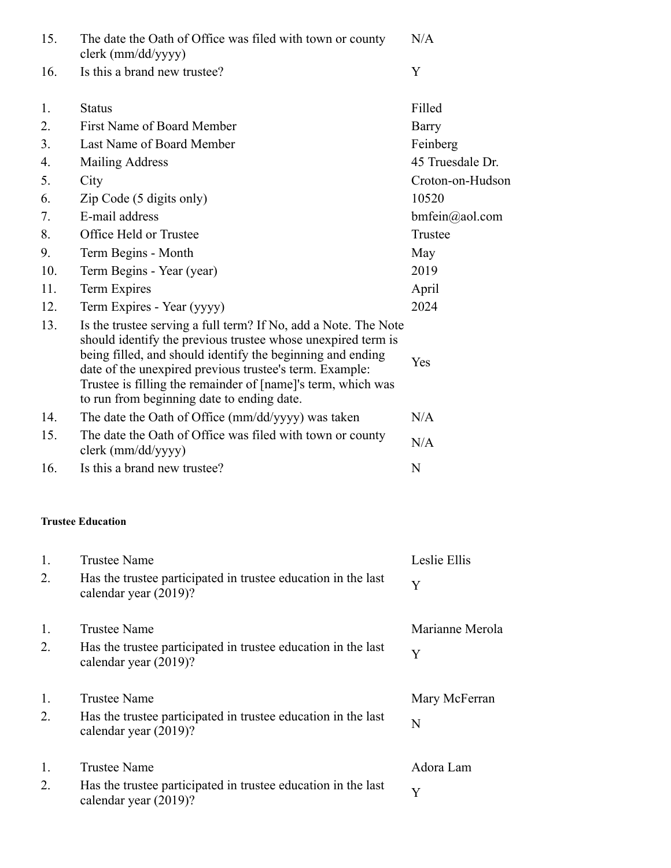| 15. | The date the Oath of Office was filed with town or county<br>clerk (mm/dd/yyyy)                                                                                                                                                                                                                                                                                        | N/A                       |
|-----|------------------------------------------------------------------------------------------------------------------------------------------------------------------------------------------------------------------------------------------------------------------------------------------------------------------------------------------------------------------------|---------------------------|
| 16. | Is this a brand new trustee?                                                                                                                                                                                                                                                                                                                                           | Y                         |
| 1.  | <b>Status</b>                                                                                                                                                                                                                                                                                                                                                          | Filled                    |
| 2.  | <b>First Name of Board Member</b>                                                                                                                                                                                                                                                                                                                                      | Barry                     |
| 3.  | Last Name of Board Member                                                                                                                                                                                                                                                                                                                                              | Feinberg                  |
| 4.  | <b>Mailing Address</b>                                                                                                                                                                                                                                                                                                                                                 | 45 Truesdale Dr.          |
| 5.  | City                                                                                                                                                                                                                                                                                                                                                                   | Croton-on-Hudson          |
| 6.  | Zip Code (5 digits only)                                                                                                                                                                                                                                                                                                                                               | 10520                     |
| 7.  | E-mail address                                                                                                                                                                                                                                                                                                                                                         | $bm(\widehat{a})$ aol.com |
| 8.  | Office Held or Trustee                                                                                                                                                                                                                                                                                                                                                 | Trustee                   |
| 9.  | Term Begins - Month                                                                                                                                                                                                                                                                                                                                                    | May                       |
| 10. | Term Begins - Year (year)                                                                                                                                                                                                                                                                                                                                              | 2019                      |
| 11. | Term Expires                                                                                                                                                                                                                                                                                                                                                           | April                     |
| 12. | Term Expires - Year (yyyy)                                                                                                                                                                                                                                                                                                                                             | 2024                      |
| 13. | Is the trustee serving a full term? If No, add a Note. The Note<br>should identify the previous trustee whose unexpired term is<br>being filled, and should identify the beginning and ending<br>date of the unexpired previous trustee's term. Example:<br>Trustee is filling the remainder of [name]'s term, which was<br>to run from beginning date to ending date. | Yes                       |
| 14. | The date the Oath of Office (mm/dd/yyyy) was taken                                                                                                                                                                                                                                                                                                                     | N/A                       |
| 15. | The date the Oath of Office was filed with town or county<br>clerk (mm/dd/yyyy)                                                                                                                                                                                                                                                                                        | N/A                       |
| 16. | Is this a brand new trustee?                                                                                                                                                                                                                                                                                                                                           | N                         |
|     | <b>Trustee Education</b>                                                                                                                                                                                                                                                                                                                                               |                           |
| 1.  | <b>Trustee Name</b>                                                                                                                                                                                                                                                                                                                                                    | Leslie Ellis              |
| 2.  | Has the trustee participated in trustee education in the last<br>calendar year (2019)?                                                                                                                                                                                                                                                                                 | Y                         |
| 1.  | <b>Trustee Name</b>                                                                                                                                                                                                                                                                                                                                                    | Marianne Merola           |
| 2.  | Has the trustee participated in trustee education in the last<br>calendar year (2019)?                                                                                                                                                                                                                                                                                 | Y                         |
| 1.  | <b>Trustee Name</b>                                                                                                                                                                                                                                                                                                                                                    | Mary McFerran             |
| 2.  | Has the trustee participated in trustee education in the last<br>calendar year (2019)?                                                                                                                                                                                                                                                                                 | N                         |
| 1.  | <b>Trustee Name</b>                                                                                                                                                                                                                                                                                                                                                    | Adora Lam                 |
| 2.  | Has the trustee participated in trustee education in the last<br>calendar year (2019)?                                                                                                                                                                                                                                                                                 | Y                         |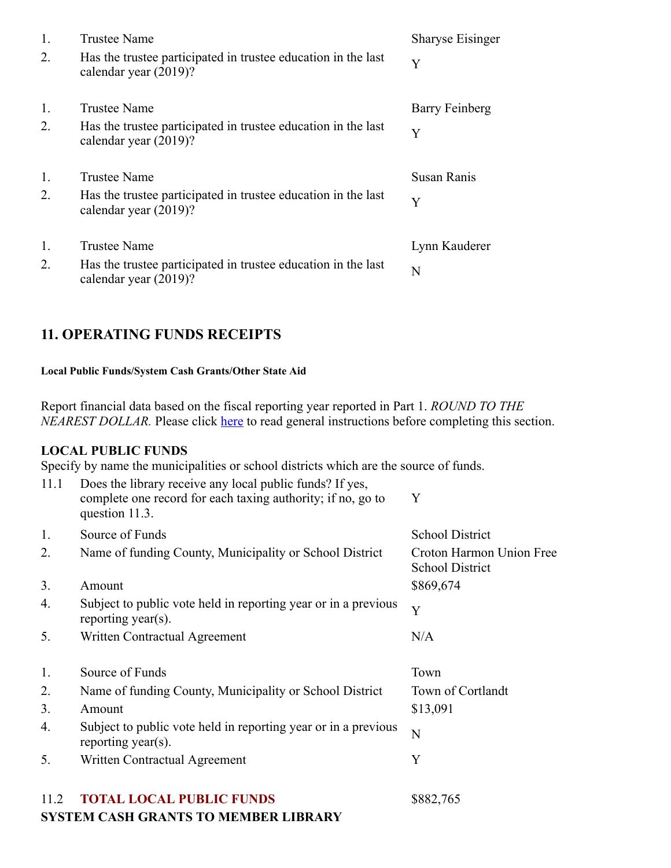| 1.<br>2. | Trustee Name<br>Has the trustee participated in trustee education in the last<br>calendar year (2019)?        | <b>Sharyse Eisinger</b><br>Y |
|----------|---------------------------------------------------------------------------------------------------------------|------------------------------|
| 1.<br>2. | <b>Trustee Name</b><br>Has the trustee participated in trustee education in the last<br>calendar year (2019)? | Barry Feinberg<br>Y          |
| 1.<br>2. | <b>Trustee Name</b><br>Has the trustee participated in trustee education in the last<br>calendar year (2019)? | <b>Susan Ranis</b><br>Y      |
| 1.<br>2. | <b>Trustee Name</b><br>Has the trustee participated in trustee education in the last<br>calendar year (2019)? | Lynn Kauderer<br>N           |

# **11. OPERATING FUNDS RECEIPTS**

#### **Local Public Funds/System Cash Grants/Other State Aid**

Report financial data based on the fiscal reporting year reported in Part 1. *ROUND TO THE NEAREST DOLLAR*. Please click here to read general instructions before completing this section.

#### **LOCAL PUBLIC FUNDS**

Specify by name the municipalities or school districts which are the source of funds.

| 11.1 | Does the library receive any local public funds? If yes,<br>complete one record for each taxing authority; if no, go to<br>question 11.3. | Y                                                  |
|------|-------------------------------------------------------------------------------------------------------------------------------------------|----------------------------------------------------|
| 1.   | Source of Funds                                                                                                                           | <b>School District</b>                             |
| 2.   | Name of funding County, Municipality or School District                                                                                   | Croton Harmon Union Free<br><b>School District</b> |
| 3.   | Amount                                                                                                                                    | \$869,674                                          |
| 4.   | Subject to public vote held in reporting year or in a previous<br>reporting year(s).                                                      | Y                                                  |
| 5.   | Written Contractual Agreement                                                                                                             | N/A                                                |
| 1.   | Source of Funds                                                                                                                           | Town                                               |
| 2.   | Name of funding County, Municipality or School District                                                                                   | Town of Cortlandt                                  |
| 3.   | Amount                                                                                                                                    | \$13,091                                           |
| 4.   | Subject to public vote held in reporting year or in a previous<br>reporting year(s).                                                      | N                                                  |
| 5.   | Written Contractual Agreement                                                                                                             | Y                                                  |
| 11.2 | <b>TOTAL LOCAL PUBLIC FUNDS</b>                                                                                                           | \$882,765                                          |

#### **SYSTEM CASH GRANTS TO MEMBER LIBRARY**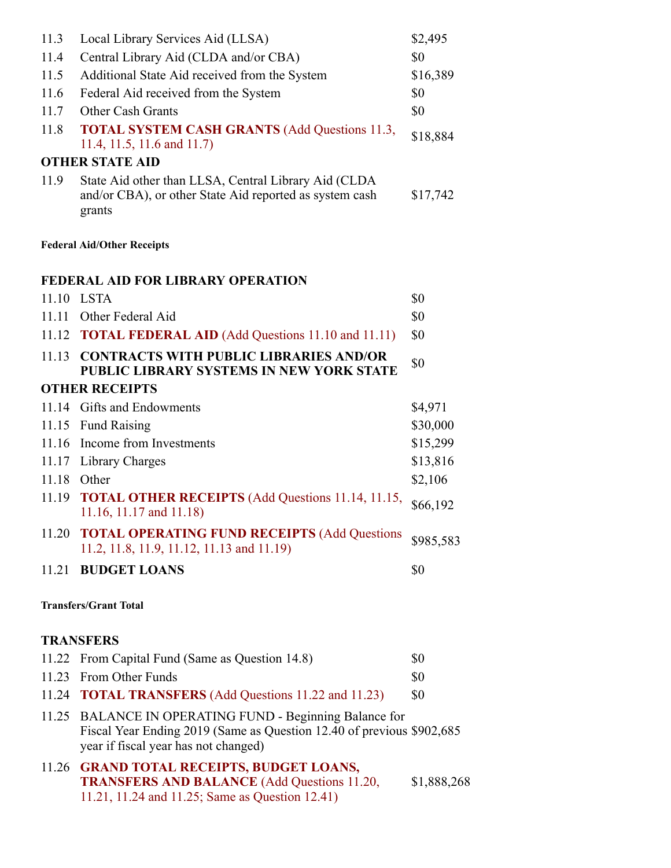| 11.3                         | Local Library Services Aid (LLSA)                                                                                                                                        | \$2,495     |  |
|------------------------------|--------------------------------------------------------------------------------------------------------------------------------------------------------------------------|-------------|--|
| 11.4                         | Central Library Aid (CLDA and/or CBA)                                                                                                                                    | \$0         |  |
| 11.5                         | Additional State Aid received from the System                                                                                                                            | \$16,389    |  |
| 11.6                         | Federal Aid received from the System                                                                                                                                     | \$0         |  |
| 11.7                         | <b>Other Cash Grants</b>                                                                                                                                                 | \$0         |  |
| 11.8                         | <b>TOTAL SYSTEM CASH GRANTS (Add Questions 11.3,</b><br>11.4, 11.5, 11.6 and 11.7)                                                                                       | \$18,884    |  |
|                              | <b>OTHER STATE AID</b>                                                                                                                                                   |             |  |
| 11.9                         | State Aid other than LLSA, Central Library Aid (CLDA<br>and/or CBA), or other State Aid reported as system cash<br>grants                                                | \$17,742    |  |
|                              | <b>Federal Aid/Other Receipts</b>                                                                                                                                        |             |  |
|                              | <b>FEDERAL AID FOR LIBRARY OPERATION</b>                                                                                                                                 |             |  |
|                              | 11.10 LSTA                                                                                                                                                               | \$0         |  |
|                              | 11.11 Other Federal Aid                                                                                                                                                  | \$0         |  |
|                              | 11.12 <b>TOTAL FEDERAL AID</b> (Add Questions 11.10 and 11.11)                                                                                                           | \$0         |  |
|                              | 11.13 CONTRACTS WITH PUBLIC LIBRARIES AND/OR<br>PUBLIC LIBRARY SYSTEMS IN NEW YORK STATE                                                                                 | \$0         |  |
|                              | <b>OTHER RECEIPTS</b>                                                                                                                                                    |             |  |
|                              | 11.14 Gifts and Endowments                                                                                                                                               | \$4,971     |  |
|                              | 11.15 Fund Raising                                                                                                                                                       | \$30,000    |  |
|                              | 11.16 Income from Investments                                                                                                                                            | \$15,299    |  |
|                              | 11.17 Library Charges                                                                                                                                                    | \$13,816    |  |
|                              | 11.18 Other                                                                                                                                                              | \$2,106     |  |
|                              | 11.19 <b>TOTAL OTHER RECEIPTS</b> (Add Questions 11.14, 11.15,<br>11.16, 11.17 and 11.18)                                                                                | \$66,192    |  |
|                              | 11.20 TOTAL OPERATING FUND RECEIPTS (Add Questions<br>11.2, 11.8, 11.9, 11.12, 11.13 and 11.19)                                                                          | \$985,583   |  |
|                              | 11.21 BUDGET LOANS                                                                                                                                                       | \$0         |  |
| <b>Transfers/Grant Total</b> |                                                                                                                                                                          |             |  |
|                              | <b>TRANSFERS</b>                                                                                                                                                         |             |  |
|                              | 11.22 From Capital Fund (Same as Question 14.8)                                                                                                                          | \$0         |  |
|                              | 11.23 From Other Funds                                                                                                                                                   | \$0         |  |
|                              | 11.24 <b>TOTAL TRANSFERS</b> (Add Questions 11.22 and 11.23)                                                                                                             | \$0         |  |
|                              | 11.25 BALANCE IN OPERATING FUND - Beginning Balance for<br>Fiscal Year Ending 2019 (Same as Question 12.40 of previous \$902,685<br>year if fiscal year has not changed) |             |  |
|                              | 11.26 GRAND TOTAL RECEIPTS, BUDGET LOANS,<br><b>TRANSFERS AND BALANCE</b> (Add Questions 11.20,                                                                          | \$1,888,268 |  |

11.21, 11.24 and 11.25; Same as Question 12.41)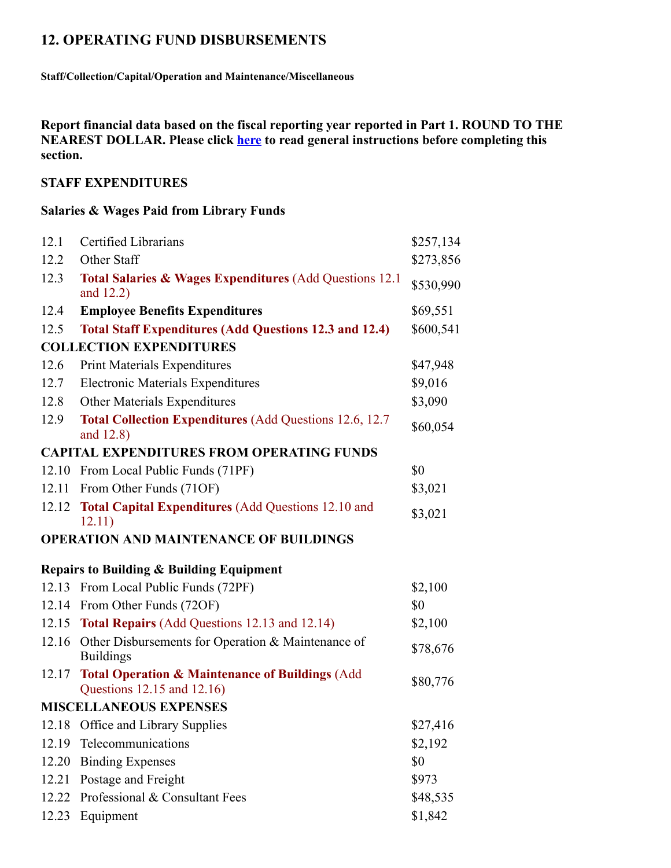# **12. OPERATING FUND DISBURSEMENTS**

**Staff/Collection/Capital/Operation and Maintenance/Miscellaneous**

**Report financial data based on the fiscal reporting year reported in Part 1. ROUND TO THE NEAREST DOLLAR. Please click here to read general instructions before completing this section.**

### **STAFF EXPENDITURES**

#### **Salaries & Wages Paid from Library Funds**

| 12.1  | Certified Librarians                                                                     | \$257,134 |
|-------|------------------------------------------------------------------------------------------|-----------|
| 12.2  | Other Staff                                                                              | \$273,856 |
| 12.3  | <b>Total Salaries &amp; Wages Expenditures (Add Questions 12.1)</b><br>and $12.2$ )      | \$530,990 |
| 12.4  | <b>Employee Benefits Expenditures</b>                                                    | \$69,551  |
| 12.5  | <b>Total Staff Expenditures (Add Questions 12.3 and 12.4)</b>                            | \$600,541 |
|       | <b>COLLECTION EXPENDITURES</b>                                                           |           |
| 12.6  | <b>Print Materials Expenditures</b>                                                      | \$47,948  |
| 12.7  | <b>Electronic Materials Expenditures</b>                                                 | \$9,016   |
| 12.8  | <b>Other Materials Expenditures</b>                                                      | \$3,090   |
| 12.9  | <b>Total Collection Expenditures (Add Questions 12.6, 12.7</b><br>and 12.8)              | \$60,054  |
|       | <b>CAPITAL EXPENDITURES FROM OPERATING FUNDS</b>                                         |           |
|       | 12.10 From Local Public Funds (71PF)                                                     | \$0       |
| 12.11 | From Other Funds (71OF)                                                                  | \$3,021   |
| 12.12 | <b>Total Capital Expenditures (Add Questions 12.10 and</b><br>12.11)                     | \$3,021   |
|       |                                                                                          |           |
|       | <b>OPERATION AND MAINTENANCE OF BUILDINGS</b>                                            |           |
|       | <b>Repairs to Building &amp; Building Equipment</b>                                      |           |
|       | 12.13 From Local Public Funds (72PF)                                                     | \$2,100   |
|       | 12.14 From Other Funds (72OF)                                                            | \$0       |
|       | 12.15 Total Repairs (Add Questions 12.13 and 12.14)                                      | \$2,100   |
| 12.16 | Other Disbursements for Operation & Maintenance of<br><b>Buildings</b>                   | \$78,676  |
| 12.17 | <b>Total Operation &amp; Maintenance of Buildings (Add</b><br>Questions 12.15 and 12.16) | \$80,776  |
|       | <b>MISCELLANEOUS EXPENSES</b>                                                            |           |
|       | 12.18 Office and Library Supplies                                                        | \$27,416  |
| 12.19 | Telecommunications                                                                       | \$2,192   |
| 12.20 | <b>Binding Expenses</b>                                                                  | \$0       |
| 12.21 | Postage and Freight                                                                      | \$973     |
| 12.22 | Professional & Consultant Fees                                                           | \$48,535  |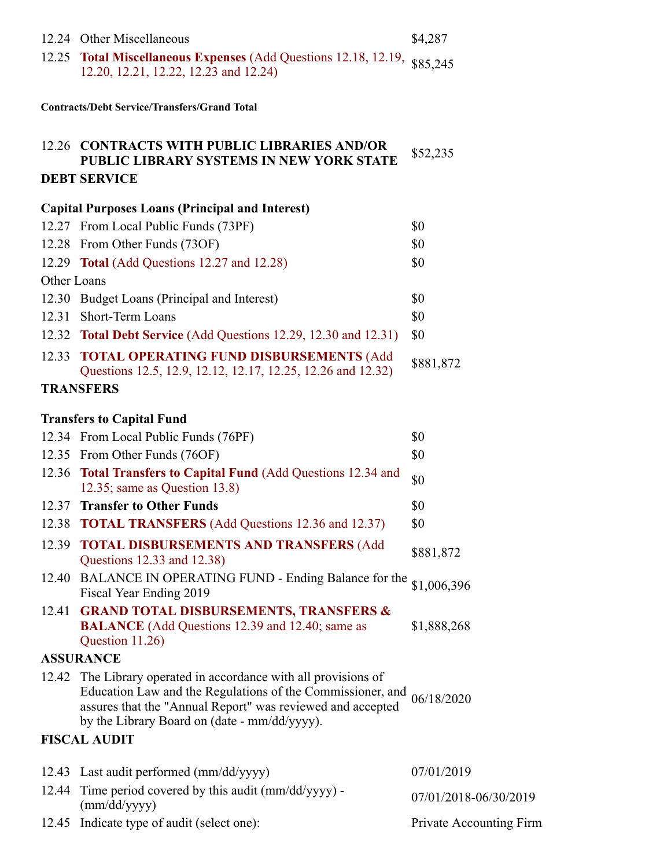|  | 12.24 Other Miscellaneous | \$4,287 |
|--|---------------------------|---------|
|--|---------------------------|---------|

12.25 **Total Miscellaneous Expenses** (Add Questions 12.18, 12.19, 12.20, 12.21, 12.22, 12.23 and 12.24) \$85,245

**Contracts/Debt Service/Transfers/Grand Total**

#### 12.26 **CONTRACTS WITH PUBLIC LIBRARIES AND/OR PUBLIC LIBRARY SYSTEMS IN NEW YORK STATE** \$52,235 **DEBT SERVICE**

### **Capital Purposes Loans (Principal and Interest)**

|             | 12.27 From Local Public Funds (73PF)                            | \$0       |
|-------------|-----------------------------------------------------------------|-----------|
|             | 12.28 From Other Funds (73OF)                                   | \$0       |
|             | 12.29 Total (Add Questions 12.27 and 12.28)                     | \$0       |
| Other Loans |                                                                 |           |
|             | 12.30 Budget Loans (Principal and Interest)                     | \$0       |
|             | 12.31 Short-Term Loans                                          | \$0       |
|             | 12.32 Total Debt Service (Add Questions 12.29, 12.30 and 12.31) | \$0       |
|             | 12.33 TOTAL OPERATING FUND DISBURSEMENTS (Add                   | \$881,872 |
|             | Questions 12.5, 12.9, 12.12, 12.17, 12.25, 12.26 and 12.32)     |           |
|             | <b>TRANSFERS</b>                                                |           |

### **Transfers to Capital Fund**

|       | 12.34 From Local Public Funds (76PF)                                                                                                                                                                                                                     | \$0                     |
|-------|----------------------------------------------------------------------------------------------------------------------------------------------------------------------------------------------------------------------------------------------------------|-------------------------|
|       | 12.35 From Other Funds (76OF)                                                                                                                                                                                                                            | \$0                     |
|       | 12.36 Total Transfers to Capital Fund (Add Questions 12.34 and<br>12.35; same as Question $13.8$ )                                                                                                                                                       | \$0                     |
|       | 12.37 Transfer to Other Funds                                                                                                                                                                                                                            | \$0                     |
|       | 12.38 <b>TOTAL TRANSFERS</b> (Add Questions 12.36 and 12.37)                                                                                                                                                                                             | \$0                     |
|       | 12.39 TOTAL DISBURSEMENTS AND TRANSFERS (Add<br>Questions 12.33 and 12.38)                                                                                                                                                                               | \$881,872               |
|       | 12.40 BALANCE IN OPERATING FUND - Ending Balance for the<br>Fiscal Year Ending 2019                                                                                                                                                                      | \$1,006,396             |
|       | 12.41 GRAND TOTAL DISBURSEMENTS, TRANSFERS &<br><b>BALANCE</b> (Add Questions 12.39 and 12.40; same as<br>Question 11.26)                                                                                                                                | \$1,888,268             |
|       | <b>ASSURANCE</b>                                                                                                                                                                                                                                         |                         |
|       | 12.42 The Library operated in accordance with all provisions of<br>Education Law and the Regulations of the Commissioner, and $06/18/2020$<br>assures that the "Annual Report" was reviewed and accepted<br>by the Library Board on (date - mm/dd/yyyy). |                         |
|       | <b>FISCAL AUDIT</b>                                                                                                                                                                                                                                      |                         |
|       | 12.43 Last audit performed (mm/dd/yyyy)                                                                                                                                                                                                                  | 07/01/2019              |
| 12.44 | Time period covered by this audit (mm/dd/yyyy) -<br>(mm/dd/yyyy)                                                                                                                                                                                         | 07/01/2018-06/30/2019   |
| 12.45 | Indicate type of audit (select one):                                                                                                                                                                                                                     | Private Accounting Firm |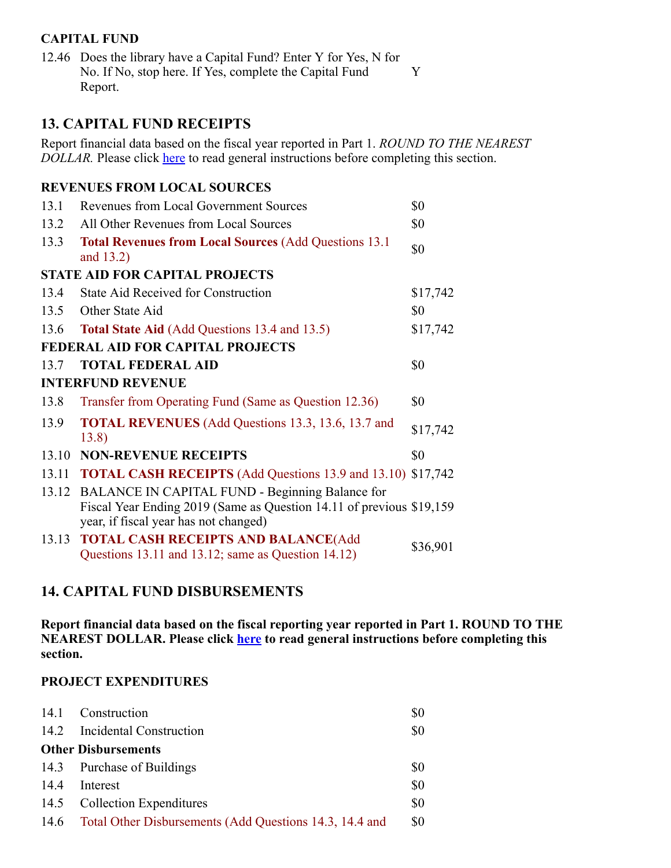### **CAPITAL FUND**

12.46 Does the library have a Capital Fund? Enter Y for Yes, N for No. If No, stop here. If Yes, complete the Capital Fund Report. Y

### **13. CAPITAL FUND RECEIPTS**

Report financial data based on the fiscal year reported in Part 1. *ROUND TO THE NEAREST DOLLAR*. Please click **here** to read general instructions before completing this section.

### **REVENUES FROM LOCAL SOURCES**

| 13.1  | <b>Revenues from Local Government Sources</b>                                                                                                                    | \$0      |
|-------|------------------------------------------------------------------------------------------------------------------------------------------------------------------|----------|
| 13.2  | All Other Revenues from Local Sources                                                                                                                            | \$0      |
| 13.3  | <b>Total Revenues from Local Sources (Add Questions 13.1)</b><br>and $13.2$ )                                                                                    | \$0      |
|       | <b>STATE AID FOR CAPITAL PROJECTS</b>                                                                                                                            |          |
| 13.4  | <b>State Aid Received for Construction</b>                                                                                                                       | \$17,742 |
| 13.5  | Other State Aid                                                                                                                                                  | \$0      |
| 13.6  | <b>Total State Aid (Add Questions 13.4 and 13.5)</b>                                                                                                             | \$17,742 |
|       | <b>FEDERAL AID FOR CAPITAL PROJECTS</b>                                                                                                                          |          |
| 13.7  | <b>TOTAL FEDERAL AID</b>                                                                                                                                         | \$0      |
|       | <b>INTERFUND REVENUE</b>                                                                                                                                         |          |
| 13.8  | Transfer from Operating Fund (Same as Question 12.36)                                                                                                            | \$0      |
| 13.9  | <b>TOTAL REVENUES</b> (Add Questions 13.3, 13.6, 13.7 and<br>13.8)                                                                                               | \$17,742 |
| 13.10 | <b>NON-REVENUE RECEIPTS</b>                                                                                                                                      | \$0      |
| 13.11 | <b>TOTAL CASH RECEIPTS</b> (Add Questions 13.9 and 13.10) \$17,742                                                                                               |          |
| 13.12 | BALANCE IN CAPITAL FUND - Beginning Balance for<br>Fiscal Year Ending 2019 (Same as Question 14.11 of previous \$19,159<br>year, if fiscal year has not changed) |          |
| 13.13 | <b>TOTAL CASH RECEIPTS AND BALANCE(Add</b><br>Questions 13.11 and 13.12; same as Question 14.12)                                                                 | \$36,901 |

# **14. CAPITAL FUND DISBURSEMENTS**

**Report financial data based on the fiscal reporting year reported in Part 1. ROUND TO THE NEAREST DOLLAR. Please click here to read general instructions before completing this section.**

#### **PROJECT EXPENDITURES**

| 14.1 | Construction                                                 | \$0 |
|------|--------------------------------------------------------------|-----|
|      | 14.2 Incidental Construction                                 | \$0 |
|      | <b>Other Disbursements</b>                                   |     |
|      | 14.3 Purchase of Buildings                                   | \$0 |
| 14.4 | Interest                                                     | \$0 |
|      | 14.5 Collection Expenditures                                 | \$0 |
|      | 14.6 Total Other Disbursements (Add Questions 14.3, 14.4 and | \$0 |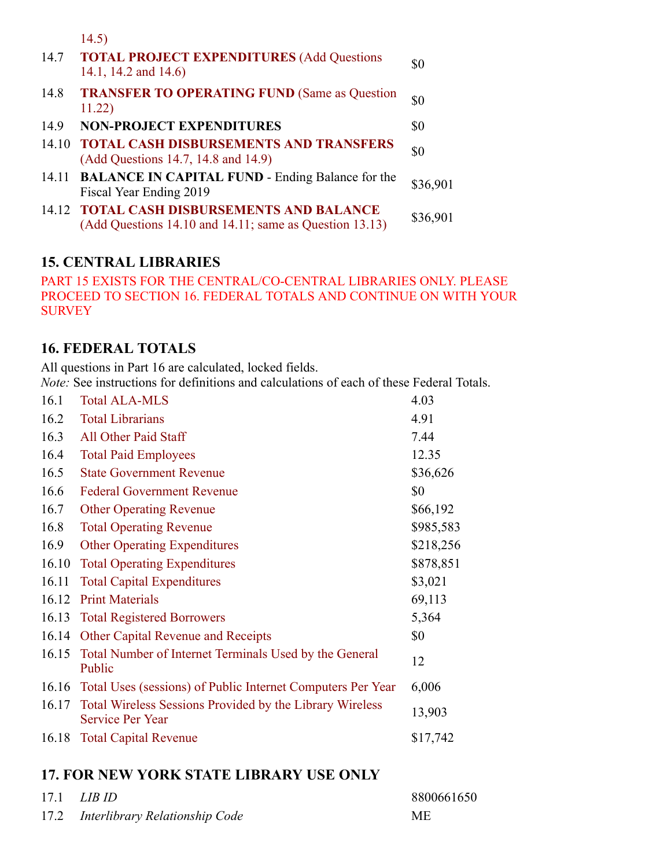|       | 14.5)                                                                                                   |          |
|-------|---------------------------------------------------------------------------------------------------------|----------|
| 14.7  | <b>TOTAL PROJECT EXPENDITURES (Add Questions</b><br>14.1, 14.2 and 14.6)                                | \$0      |
| 14.8  | <b>TRANSFER TO OPERATING FUND (Same as Question</b><br>11.22)                                           | \$0      |
| 14.9  | <b>NON-PROJECT EXPENDITURES</b>                                                                         | \$0      |
| 14.10 | <b>TOTAL CASH DISBURSEMENTS AND TRANSFERS</b><br>(Add Questions 14.7, 14.8 and 14.9)                    | \$0      |
| 14.11 | <b>BALANCE IN CAPITAL FUND - Ending Balance for the</b><br>Fiscal Year Ending 2019                      | \$36,901 |
|       | 14.12 TOTAL CASH DISBURSEMENTS AND BALANCE<br>$(Add Questions 14.10 and 14.11; same as Question 13.13)$ | \$36,901 |

# **15. CENTRAL LIBRARIES**

PART 15 EXISTS FOR THE CENTRAL/CO-CENTRAL LIBRARIES ONLY. PLEASE PROCEED TO SECTION 16. FEDERAL TOTALS AND CONTINUE ON WITH YOUR **SURVEY** 

### **16. FEDERAL TOTALS**

All questions in Part 16 are calculated, locked fields.

*Note:* See instructions for definitions and calculations of each of these Federal Totals.

| 16.1  | <b>Total ALA-MLS</b>                                                                | 4.03      |
|-------|-------------------------------------------------------------------------------------|-----------|
| 16.2  | <b>Total Librarians</b>                                                             | 4.91      |
| 16.3  | All Other Paid Staff                                                                | 7.44      |
| 16.4  | <b>Total Paid Employees</b>                                                         | 12.35     |
| 16.5  | <b>State Government Revenue</b>                                                     | \$36,626  |
| 16.6  | <b>Federal Government Revenue</b>                                                   | \$0       |
| 16.7  | <b>Other Operating Revenue</b>                                                      | \$66,192  |
| 16.8  | <b>Total Operating Revenue</b>                                                      | \$985,583 |
| 16.9  | <b>Other Operating Expenditures</b>                                                 | \$218,256 |
| 16.10 | <b>Total Operating Expenditures</b>                                                 | \$878,851 |
| 16.11 | <b>Total Capital Expenditures</b>                                                   | \$3,021   |
| 16.12 | <b>Print Materials</b>                                                              | 69,113    |
| 16.13 | <b>Total Registered Borrowers</b>                                                   | 5,364     |
| 16.14 | <b>Other Capital Revenue and Receipts</b>                                           | \$0       |
| 16.15 | Total Number of Internet Terminals Used by the General<br>Public                    | 12        |
| 16.16 | Total Uses (sessions) of Public Internet Computers Per Year                         | 6,006     |
| 16.17 | Total Wireless Sessions Provided by the Library Wireless<br><b>Service Per Year</b> | 13,903    |
| 16.18 | <b>Total Capital Revenue</b>                                                        | \$17,742  |

# **17. FOR NEW YORK STATE LIBRARY USE ONLY**

| $17.1$ <i>LIB ID</i>                | 8800661650 |
|-------------------------------------|------------|
| 17.2 Interlibrary Relationship Code | <b>ME</b>  |